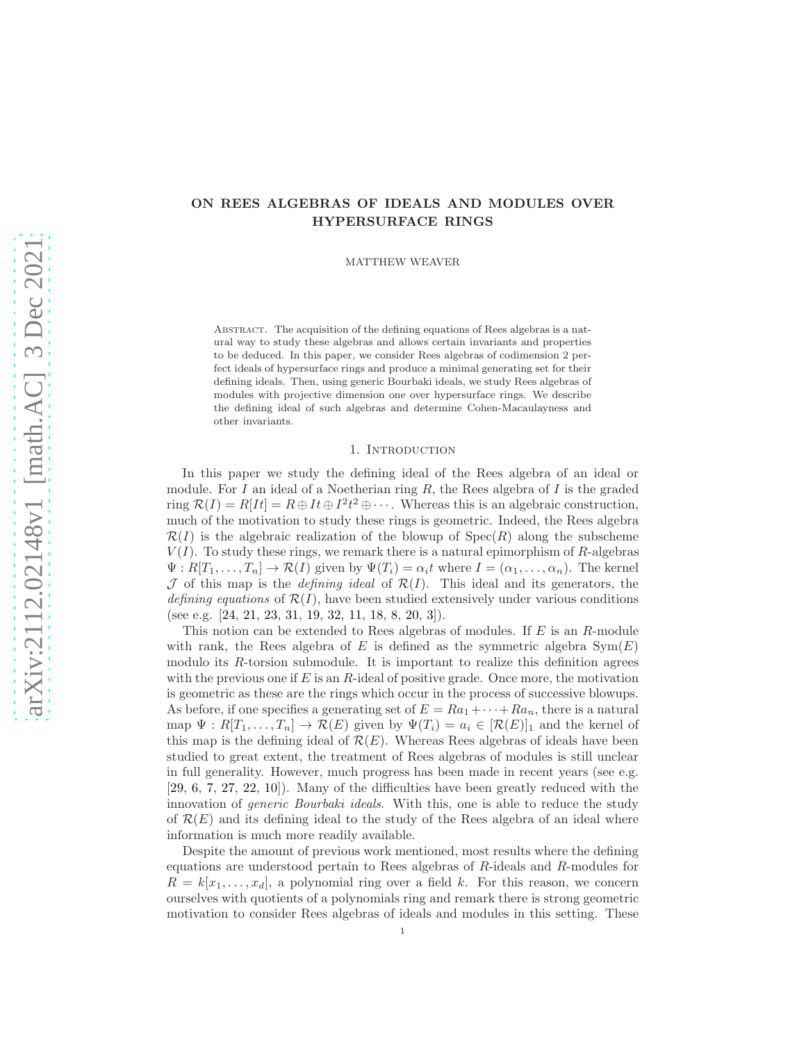# ON REES ALGEBRAS OF IDEALS AND MODULES OVER HYPERSURFACE RINGS

MATTHEW WEAVER

Abstract. The acquisition of the defining equations of Rees algebras is a natural way to study these algebras and allows certain invariants and properties to be deduced. In this paper, we consider Rees algebras of codimension 2 perfect ideals of hypersurface rings and produce a minimal generating set for their defining ideals. Then, using generic Bourbaki ideals, we study Rees algebras of modules with projective dimension one over hypersurface rings. We describe the defining ideal of such algebras and determine Cohen-Macaulayness and other invariants.

### 1. INTRODUCTION

In this paper we study the defining ideal of the Rees algebra of an ideal or module. For I an ideal of a Noetherian ring R, the Rees algebra of I is the graded ring  $\mathcal{R}(I) = R[It] = R \oplus It \oplus I^2t^2 \oplus \cdots$ . Whereas this is an algebraic construction, much of the motivation to study these rings is geometric. Indeed, the Rees algebra  $\mathcal{R}(I)$  is the algebraic realization of the blowup of  $Spec(R)$  along the subscheme  $V(I)$ . To study these rings, we remark there is a natural epimorphism of R-algebras  $\Psi: R[T_1,\ldots,T_n] \to \mathcal{R}(I)$  given by  $\Psi(T_i) = \alpha_i t$  where  $I = (\alpha_1,\ldots,\alpha_n)$ . The kernel  $J$  of this map is the *defining ideal* of  $\mathcal{R}(I)$ . This ideal and its generators, the defining equations of  $\mathcal{R}(I)$ , have been studied extensively under various conditions (see e.g. [\[24,](#page-26-0) [21,](#page-26-1) [23,](#page-26-2) [31,](#page-26-3) [19,](#page-26-4) [32,](#page-26-5) [11,](#page-25-0) [18,](#page-25-1) [8,](#page-25-2) [20,](#page-26-6) [3\]](#page-25-3)).

This notion can be extended to Rees algebras of modules. If E is an R-module with rank, the Rees algebra of E is defined as the symmetric algebra  $Sym(E)$ modulo its R-torsion submodule. It is important to realize this definition agrees with the previous one if  $E$  is an  $R$ -ideal of positive grade. Once more, the motivation is geometric as these are the rings which occur in the process of successive blowups. As before, if one specifies a generating set of  $E = Ra_1 + \cdots + Ra_n$ , there is a natural map  $\Psi: R[T_1,\ldots,T_n] \to \mathcal{R}(E)$  given by  $\Psi(T_i) = a_i \in [\mathcal{R}(E)]_1$  and the kernel of this map is the defining ideal of  $\mathcal{R}(E)$ . Whereas Rees algebras of ideals have been studied to great extent, the treatment of Rees algebras of modules is still unclear in full generality. However, much progress has been made in recent years (see e.g. [\[29,](#page-26-7) [6,](#page-25-4) [7,](#page-25-5) [27,](#page-26-8) [22,](#page-26-9) [10\]](#page-25-6)). Many of the difficulties have been greatly reduced with the innovation of *generic Bourbaki ideals*. With this, one is able to reduce the study of  $\mathcal{R}(E)$  and its defining ideal to the study of the Rees algebra of an ideal where information is much more readily available.

Despite the amount of previous work mentioned, most results where the defining equations are understood pertain to Rees algebras of R-ideals and R-modules for  $R = k[x_1, \ldots, x_d]$ , a polynomial ring over a field k. For this reason, we concern ourselves with quotients of a polynomials ring and remark there is strong geometric motivation to consider Rees algebras of ideals and modules in this setting. These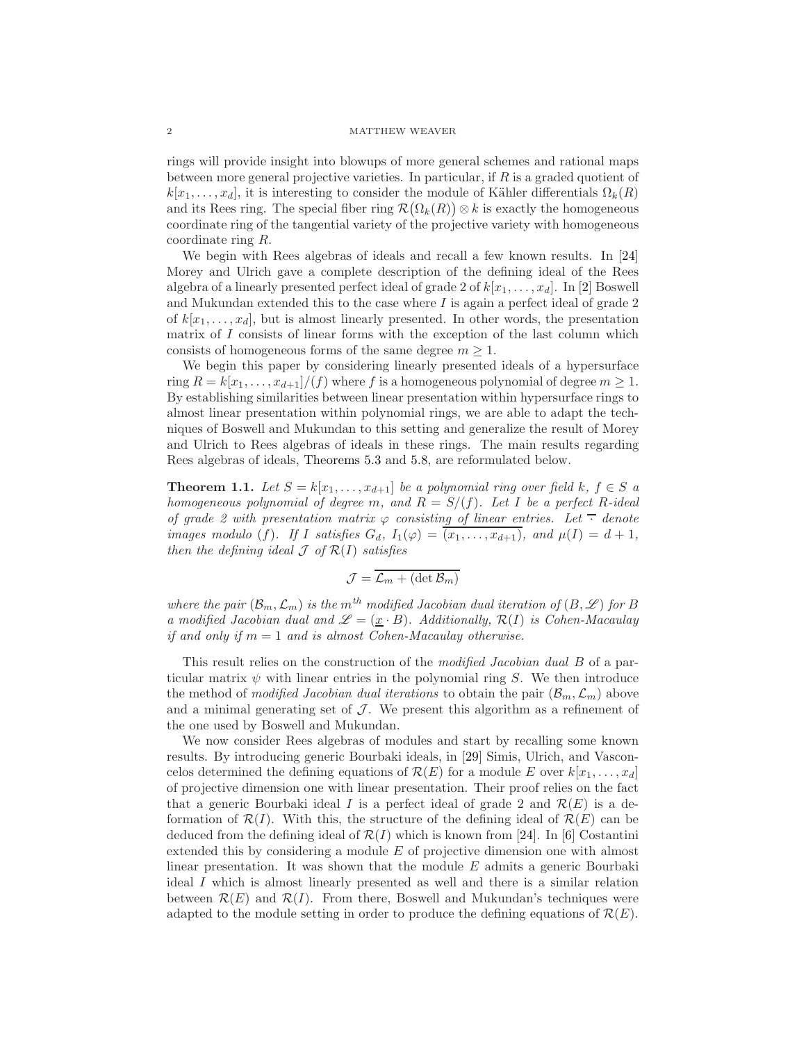rings will provide insight into blowups of more general schemes and rational maps between more general projective varieties. In particular, if R is a graded quotient of  $k[x_1, \ldots, x_d]$ , it is interesting to consider the module of Kähler differentials  $\Omega_k(R)$ and its Rees ring. The special fiber ring  $\mathcal{R}(\Omega_k(R)) \otimes k$  is exactly the homogeneous coordinate ring of the tangential variety of the projective variety with homogeneous coordinate ring R.

We begin with Rees algebras of ideals and recall a few known results. In [\[24\]](#page-26-0) Morey and Ulrich gave a complete description of the defining ideal of the Rees algebra of a linearly presented perfect ideal of grade 2 of  $k[x_1, \ldots, x_d]$ . In [\[2\]](#page-25-7) Boswell and Mukundan extended this to the case where  $I$  is again a perfect ideal of grade  $2$ of  $k[x_1, \ldots, x_d]$ , but is almost linearly presented. In other words, the presentation matrix of  $I$  consists of linear forms with the exception of the last column which consists of homogeneous forms of the same degree  $m \geq 1$ .

We begin this paper by considering linearly presented ideals of a hypersurface ring  $R = k[x_1, \ldots, x_{d+1}]/(f)$  where f is a homogeneous polynomial of degree  $m \ge 1$ . By establishing similarities between linear presentation within hypersurface rings to almost linear presentation within polynomial rings, we are able to adapt the techniques of Boswell and Mukundan to this setting and generalize the result of Morey and Ulrich to Rees algebras of ideals in these rings. The main results regarding Rees algebras of ideals, [Theorems 5.3](#page-16-0) and [5.8,](#page-19-0) are reformulated below.

<span id="page-1-0"></span>**Theorem 1.1.** Let  $S = k[x_1, \ldots, x_{d+1}]$  be a polynomial ring over field k,  $f \in S$  a homogeneous polynomial of degree m, and  $R = S/(f)$ . Let I be a perfect R-ideal of grade 2 with presentation matrix  $\varphi$  consisting of linear entries. Let  $\bar{\phantom{a}}$  denote images modulo (f). If I satisfies  $G_d$ ,  $I_1(\varphi) = \overline{(x_1, \ldots, x_{d+1})}$ , and  $\mu(I) = d+1$ , then the defining ideal  $\mathcal J$  of  $\mathcal R(I)$  satisfies

$$
\mathcal{J} = \overline{\mathcal{L}_m + (\det \mathcal{B}_m)}
$$

where the pair  $(\mathcal{B}_m, \mathcal{L}_m)$  is the m<sup>th</sup> modified Jacobian dual iteration of  $(B, \mathcal{L})$  for B a modified Jacobian dual and  $\mathscr{L} = (\underline{x} \cdot B)$ . Additionally,  $\mathcal{R}(I)$  is Cohen-Macaulay if and only if  $m = 1$  and is almost Cohen-Macaulay otherwise.

This result relies on the construction of the *modified Jacobian dual B* of a particular matrix  $\psi$  with linear entries in the polynomial ring S. We then introduce the method of modified Jacobian dual iterations to obtain the pair  $(\mathcal{B}_m, \mathcal{L}_m)$  above and a minimal generating set of  $J$ . We present this algorithm as a refinement of the one used by Boswell and Mukundan.

We now consider Rees algebras of modules and start by recalling some known results. By introducing generic Bourbaki ideals, in [\[29\]](#page-26-7) Simis, Ulrich, and Vasconcelos determined the defining equations of  $\mathcal{R}(E)$  for a module E over  $k[x_1, \ldots, x_d]$ of projective dimension one with linear presentation. Their proof relies on the fact that a generic Bourbaki ideal I is a perfect ideal of grade 2 and  $\mathcal{R}(E)$  is a deformation of  $\mathcal{R}(I)$ . With this, the structure of the defining ideal of  $\mathcal{R}(E)$  can be deduced from the defining ideal of  $\mathcal{R}(I)$  which is known from [\[24\]](#page-26-0). In [\[6\]](#page-25-4) Costantini extended this by considering a module E of projective dimension one with almost linear presentation. It was shown that the module  $E$  admits a generic Bourbaki ideal I which is almost linearly presented as well and there is a similar relation between  $\mathcal{R}(E)$  and  $\mathcal{R}(I)$ . From there, Boswell and Mukundan's techniques were adapted to the module setting in order to produce the defining equations of  $\mathcal{R}(E)$ .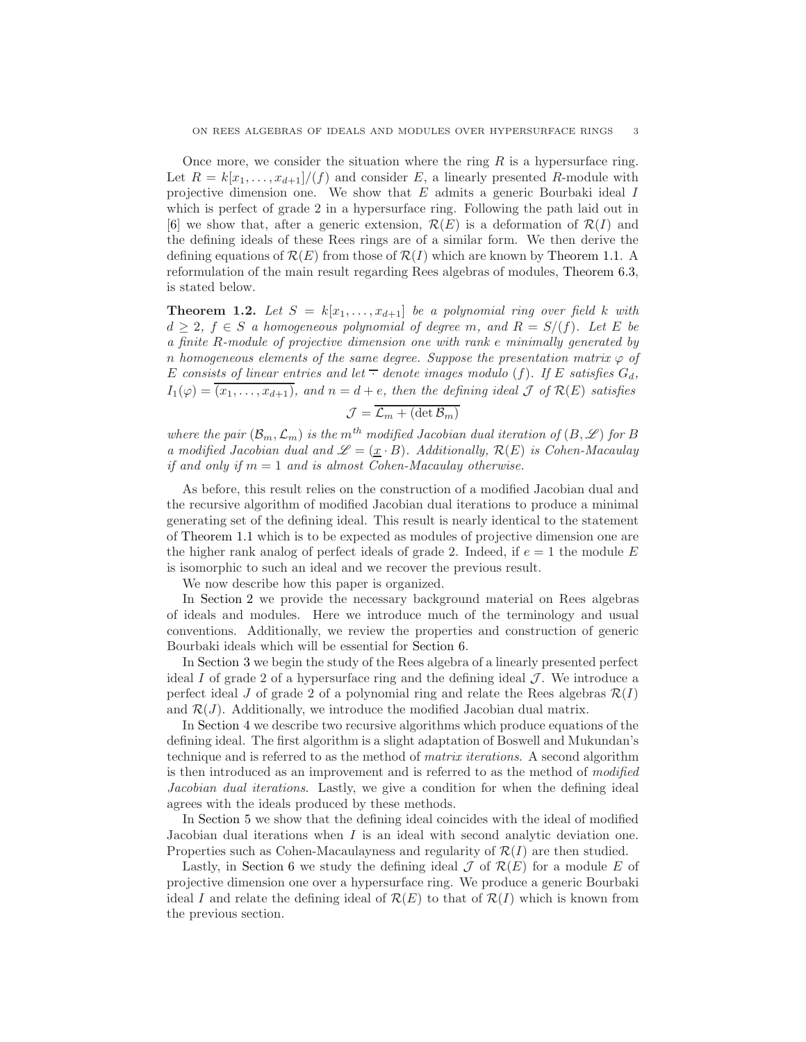Once more, we consider the situation where the ring  $R$  is a hypersurface ring. Let  $R = k[x_1, \ldots, x_{d+1}]/(f)$  and consider E, a linearly presented R-module with projective dimension one. We show that  $E$  admits a generic Bourbaki ideal  $I$ which is perfect of grade 2 in a hypersurface ring. Following the path laid out in [\[6\]](#page-25-4) we show that, after a generic extension,  $\mathcal{R}(E)$  is a deformation of  $\mathcal{R}(I)$  and the defining ideals of these Rees rings are of a similar form. We then derive the defining equations of  $\mathcal{R}(E)$  from those of  $\mathcal{R}(I)$  which are known by [Theorem 1.1.](#page-1-0) A reformulation of the main result regarding Rees algebras of modules, [Theorem 6.3,](#page-22-0) is stated below.

**Theorem 1.2.** Let  $S = k[x_1, \ldots, x_{d+1}]$  be a polynomial ring over field k with  $d \geq 2$ ,  $f \in S$  a homogeneous polynomial of degree m, and  $R = S/(f)$ . Let E be a finite R-module of projective dimension one with rank e minimally generated by n homogeneous elements of the same degree. Suppose the presentation matrix  $\varphi$  of E consists of linear entries and let  $\overline{\cdot}$  denote images modulo (f). If E satisfies  $G_d$ ,  $I_1(\varphi) = \overline{(x_1, \ldots, x_{d+1})}$ , and  $n = d + e$ , then the defining ideal  $\mathcal J$  of  $\mathcal R(E)$  satisfies

$$
\mathcal{J} = \overline{\mathcal{L}_m + (\det \mathcal{B}_m)}
$$

where the pair  $(\mathcal{B}_m, \mathcal{L}_m)$  is the  $m^{th}$  modified Jacobian dual iteration of  $(B, \mathscr{L})$  for B a modified Jacobian dual and  $\mathscr{L} = (\underline{x} \cdot B)$ . Additionally,  $\mathcal{R}(E)$  is Cohen-Macaulay if and only if  $m = 1$  and is almost Cohen-Macaulay otherwise.

As before, this result relies on the construction of a modified Jacobian dual and the recursive algorithm of modified Jacobian dual iterations to produce a minimal generating set of the defining ideal. This result is nearly identical to the statement of [Theorem 1.1](#page-1-0) which is to be expected as modules of projective dimension one are the higher rank analog of perfect ideals of grade 2. Indeed, if  $e = 1$  the module E is isomorphic to such an ideal and we recover the previous result.

We now describe how this paper is organized.

In [Section 2](#page-3-0) we provide the necessary background material on Rees algebras of ideals and modules. Here we introduce much of the terminology and usual conventions. Additionally, we review the properties and construction of generic Bourbaki ideals which will be essential for [Section 6.](#page-21-0)

In [Section 3](#page-5-0) we begin the study of the Rees algebra of a linearly presented perfect ideal I of grade 2 of a hypersurface ring and the defining ideal  $\mathcal{J}$ . We introduce a perfect ideal J of grade 2 of a polynomial ring and relate the Rees algebras  $\mathcal{R}(I)$ and  $\mathcal{R}(J)$ . Additionally, we introduce the modified Jacobian dual matrix.

In [Section 4](#page-10-0) we describe two recursive algorithms which produce equations of the defining ideal. The first algorithm is a slight adaptation of Boswell and Mukundan's technique and is referred to as the method of matrix iterations. A second algorithm is then introduced as an improvement and is referred to as the method of modified Jacobian dual iterations. Lastly, we give a condition for when the defining ideal agrees with the ideals produced by these methods.

In [Section 5](#page-15-0) we show that the defining ideal coincides with the ideal of modified Jacobian dual iterations when I is an ideal with second analytic deviation one. Properties such as Cohen-Macaulayness and regularity of  $\mathcal{R}(I)$  are then studied.

Lastly, in [Section 6](#page-21-0) we study the defining ideal  $\mathcal J$  of  $\mathcal R(E)$  for a module E of projective dimension one over a hypersurface ring. We produce a generic Bourbaki ideal I and relate the defining ideal of  $\mathcal{R}(E)$  to that of  $\mathcal{R}(I)$  which is known from the previous section.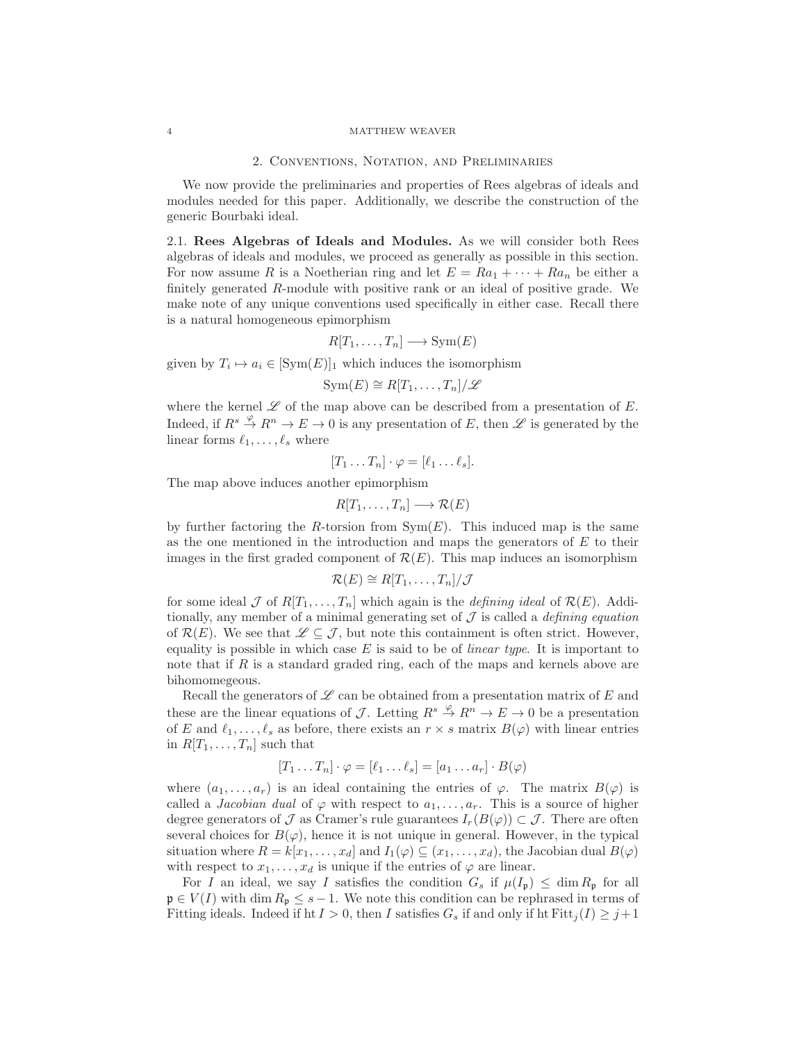### 2. Conventions, Notation, and Preliminaries

<span id="page-3-0"></span>We now provide the preliminaries and properties of Rees algebras of ideals and modules needed for this paper. Additionally, we describe the construction of the generic Bourbaki ideal.

2.1. Rees Algebras of Ideals and Modules. As we will consider both Rees algebras of ideals and modules, we proceed as generally as possible in this section. For now assume R is a Noetherian ring and let  $E = Ra_1 + \cdots + Ra_n$  be either a finitely generated R-module with positive rank or an ideal of positive grade. We make note of any unique conventions used specifically in either case. Recall there is a natural homogeneous epimorphism

$$
R[T_1,\ldots,T_n] \longrightarrow \text{Sym}(E)
$$

given by  $T_i \mapsto a_i \in [\text{Sym}(E)]_1$  which induces the isomorphism

$$
Sym(E) \cong R[T_1,\ldots,T_n]/\mathscr{L}
$$

where the kernel  $\mathscr L$  of the map above can be described from a presentation of  $E$ . Indeed, if  $R^s \overset{\varphi}{\to} R^n \to E \to 0$  is any presentation of E, then  $\mathscr L$  is generated by the linear forms  $\ell_1, \ldots, \ell_s$  where

$$
[T_1 \ldots T_n] \cdot \varphi = [\ell_1 \ldots \ell_s].
$$

The map above induces another epimorphism

$$
R[T_1,\ldots,T_n] \longrightarrow \mathcal{R}(E)
$$

by further factoring the R-torsion from  $Sym(E)$ . This induced map is the same as the one mentioned in the introduction and maps the generators of  $E$  to their images in the first graded component of  $\mathcal{R}(E)$ . This map induces an isomorphism

$$
\mathcal{R}(E) \cong R[T_1,\ldots,T_n]/\mathcal{J}
$$

for some ideal  $\mathcal J$  of  $R[T_1, \ldots, T_n]$  which again is the *defining ideal* of  $\mathcal R(E)$ . Additionally, any member of a minimal generating set of  $\mathcal I$  is called a *defining equation* of  $\mathcal{R}(E)$ . We see that  $\mathscr{L} \subseteq \mathcal{J}$ , but note this containment is often strict. However, equality is possible in which case  $E$  is said to be of *linear type*. It is important to note that if  $R$  is a standard graded ring, each of the maps and kernels above are bihomomegeous.

Recall the generators of  $\mathscr L$  can be obtained from a presentation matrix of E and these are the linear equations of J. Letting  $R^s \stackrel{\varphi}{\to} R^n \to E \to 0$  be a presentation of E and  $\ell_1, \ldots, \ell_s$  as before, there exists an  $r \times s$  matrix  $B(\varphi)$  with linear entries in  $R[T_1, \ldots, T_n]$  such that

$$
[T_1 \dots T_n] \cdot \varphi = [\ell_1 \dots \ell_s] = [a_1 \dots a_r] \cdot B(\varphi)
$$

where  $(a_1, \ldots, a_r)$  is an ideal containing the entries of  $\varphi$ . The matrix  $B(\varphi)$  is called a *Jacobian dual* of  $\varphi$  with respect to  $a_1, \ldots, a_r$ . This is a source of higher degree generators of J as Cramer's rule guarantees  $I_r(B(\varphi)) \subset \mathcal{J}$ . There are often several choices for  $B(\varphi)$ , hence it is not unique in general. However, in the typical situation where  $R = k[x_1, \ldots, x_d]$  and  $I_1(\varphi) \subseteq (x_1, \ldots, x_d)$ , the Jacobian dual  $B(\varphi)$ with respect to  $x_1, \ldots, x_d$  is unique if the entries of  $\varphi$  are linear.

For I an ideal, we say I satisfies the condition  $G_s$  if  $\mu(I_p) \leq \dim R_p$  for all  $\mathfrak{p} \in V(I)$  with dim  $R_{\mathfrak{p}} \leq s-1$ . We note this condition can be rephrased in terms of Fitting ideals. Indeed if ht  $I > 0$ , then I satisfies  $G_s$  if and only if ht  $Fitt_i(I) \geq j+1$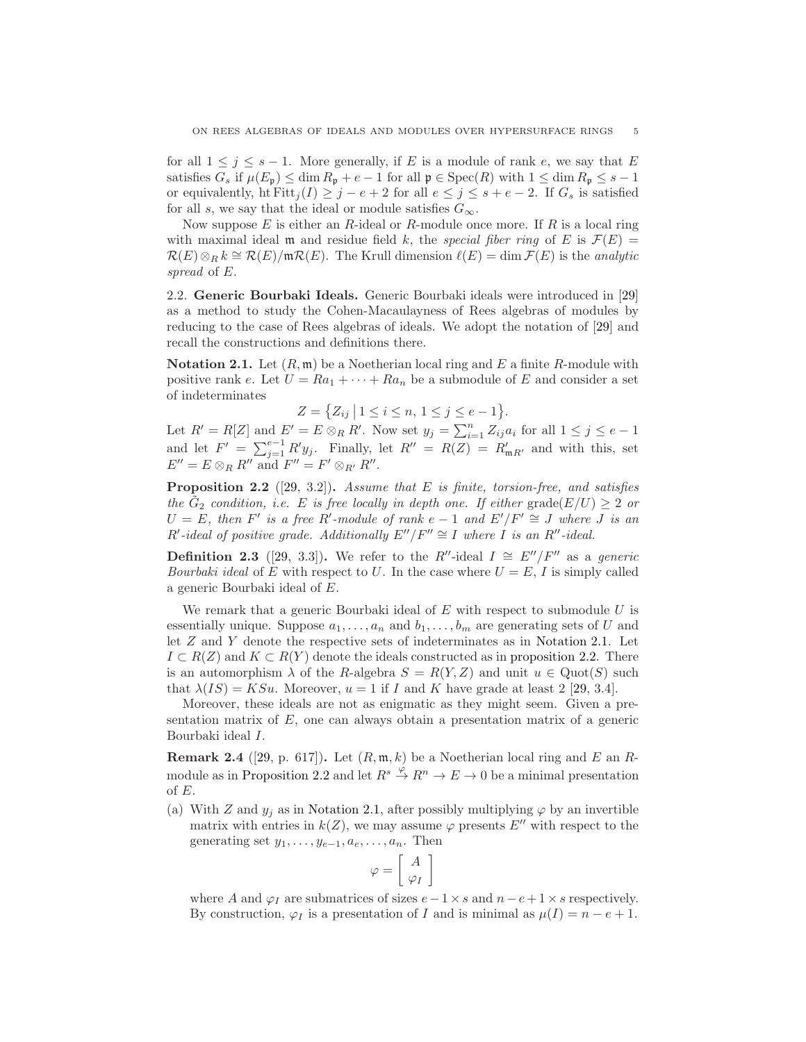for all  $1 \leq j \leq s - 1$ . More generally, if E is a module of rank e, we say that E satisfies  $G_s$  if  $\mu(E_{\mathfrak{p}}) \leq \dim R_{\mathfrak{p}} + e - 1$  for all  $\mathfrak{p} \in \text{Spec}(R)$  with  $1 \leq \dim R_{\mathfrak{p}} \leq s - 1$ or equivalently, ht Fitt $j(I) \geq j - e + 2$  for all  $e \leq j \leq s + e - 2$ . If  $G_s$  is satisfied for all s, we say that the ideal or module satisfies  $G_{\infty}$ .

Now suppose  $E$  is either an R-ideal or R-module once more. If  $R$  is a local ring with maximal ideal m and residue field k, the special fiber ring of E is  $\mathcal{F}(E)$  =  $\mathcal{R}(E)\otimes_R k \cong \mathcal{R}(E)/\mathfrak{m}\mathcal{R}(E)$ . The Krull dimension  $\ell(E) = \dim \mathcal{F}(E)$  is the analytic spread of E.

2.2. Generic Bourbaki Ideals. Generic Bourbaki ideals were introduced in [\[29\]](#page-26-7) as a method to study the Cohen-Macaulayness of Rees algebras of modules by reducing to the case of Rees algebras of ideals. We adopt the notation of [\[29\]](#page-26-7) and recall the constructions and definitions there.

<span id="page-4-0"></span>**Notation 2.1.** Let  $(R, \mathfrak{m})$  be a Noetherian local ring and E a finite R-module with positive rank e. Let  $U = Ra_1 + \cdots + Ra_n$  be a submodule of E and consider a set of indeterminates

$$
Z = \{ Z_{ij} \mid 1 \le i \le n, \ 1 \le j \le e-1 \}.
$$

Let  $R' = R[Z]$  and  $E' = E \otimes_R R'$ . Now set  $y_j = \sum_{i=1}^n Z_{ij} a_i$  for all  $1 \le j \le e-1$ and let  $F' = \sum_{j=1}^{e-1} R'y_j$ . Finally, let  $R'' = R(Z) = R'_{mR'}$  and with this, set  $E'' = E \otimes_R R''$  and  $F'' = F' \otimes_{R'} R''$ .

<span id="page-4-1"></span>**Proposition 2.2** ([\[29,](#page-26-7) 3.2]). Assume that E is finite, torsion-free, and satisfies the  $\tilde{G}_2$  condition, i.e. E is free locally in depth one. If either grade $(E/U) \geq 2$  or  $U = E$ , then F' is a free R'-module of rank  $e - 1$  and  $E'/F' \cong J$  where J is an  $R'$ -ideal of positive grade. Additionally  $E''/F'' \cong I$  where  $I$  is an  $R''$ -ideal.

**Definition 2.3** ([\[29,](#page-26-7) 3.3]). We refer to the R″-ideal  $I \cong E''/F''$  as a generic Bourbaki ideal of E with respect to U. In the case where  $U = E$ , I is simply called a generic Bourbaki ideal of E.

We remark that a generic Bourbaki ideal of  $E$  with respect to submodule  $U$  is essentially unique. Suppose  $a_1, \ldots, a_n$  and  $b_1, \ldots, b_m$  are generating sets of U and let Z and Y denote the respective sets of indeterminates as in [Notation 2.1.](#page-4-0) Let  $I \subset R(Z)$  and  $K \subset R(Y)$  denote the ideals constructed as in [proposition 2.2.](#page-4-1) There is an automorphism  $\lambda$  of the R-algebra  $S = R(Y, Z)$  and unit  $u \in \text{Quot}(S)$  such that  $\lambda(IS) = KSu$ . Moreover,  $u = 1$  if I and K have grade at least 2 [\[29,](#page-26-7) 3.4].

Moreover, these ideals are not as enigmatic as they might seem. Given a presentation matrix of E, one can always obtain a presentation matrix of a generic Bourbaki ideal I.

<span id="page-4-2"></span>**Remark 2.4** ([\[29,](#page-26-7) p. 617]). Let  $(R, \mathfrak{m}, k)$  be a Noetherian local ring and E an R-module as in [Proposition 2.2](#page-4-1) and let  $R^s \stackrel{\varphi}{\to} R^n \to E \to 0$  be a minimal presentation of E.

(a) With Z and  $y_j$  as in [Notation 2.1,](#page-4-0) after possibly multiplying  $\varphi$  by an invertible matrix with entries in  $k(Z)$ , we may assume  $\varphi$  presents E'' with respect to the generating set  $y_1, \ldots, y_{e-1}, a_e, \ldots, a_n$ . Then

$$
\varphi = \left[ \begin{array}{c} A \\ \varphi_I \end{array} \right]
$$

where A and  $\varphi_I$  are submatrices of sizes  $e-1\times s$  and  $n-e+1\times s$  respectively. By construction,  $\varphi_I$  is a presentation of I and is minimal as  $\mu(I) = n - e + 1$ .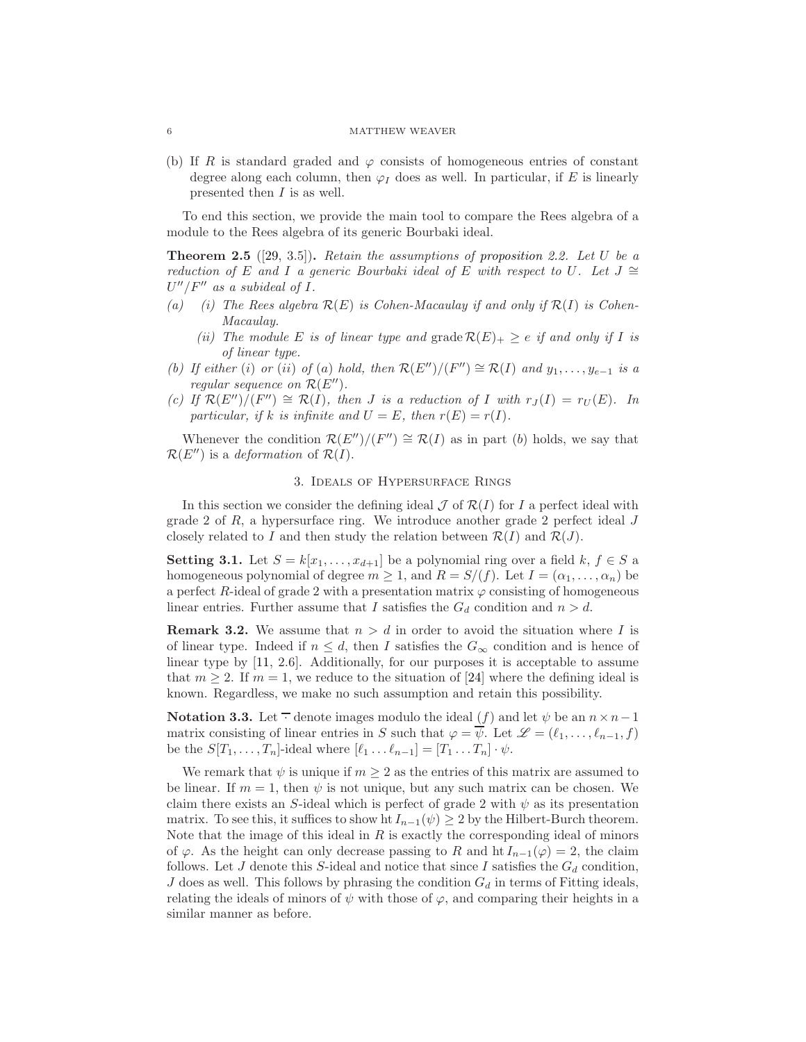(b) If R is standard graded and  $\varphi$  consists of homogeneous entries of constant degree along each column, then  $\varphi_I$  does as well. In particular, if E is linearly presented then I is as well.

<span id="page-5-3"></span>To end this section, we provide the main tool to compare the Rees algebra of a module to the Rees algebra of its generic Bourbaki ideal.

**Theorem 2.5** ([\[29,](#page-26-7) 3.5]). Retain the assumptions of [proposition 2.2.](#page-4-1) Let U be a reduction of E and I a generic Bourbaki ideal of E with respect to U. Let  $J \cong$  $U''/F''$  as a subideal of I.

- (a) (i) The Rees algebra  $\mathcal{R}(E)$  is Cohen-Macaulay if and only if  $\mathcal{R}(I)$  is Cohen-Macaulay.
	- (ii) The module E is of linear type and  $\text{grade } \mathcal{R}(E)_+ \geq e$  if and only if I is of linear type.
- (b) If either (i) or (ii) of (a) hold, then  $\mathcal{R}(E'')/(F'') \cong \mathcal{R}(I)$  and  $y_1, \ldots, y_{e-1}$  is a regular sequence on  $\mathcal{R}(E'')$ .
- (c) If  $\mathcal{R}(E'')/(F'') \cong \mathcal{R}(I)$ , then J is a reduction of I with  $r_J(I) = r_U(E)$ . In particular, if k is infinite and  $U = E$ , then  $r(E) = r(I)$ .

<span id="page-5-0"></span>Whenever the condition  $\mathcal{R}(E'')/(F'') \cong \mathcal{R}(I)$  as in part (b) holds, we say that  $\mathcal{R}(E'')$  is a *deformation* of  $\mathcal{R}(I)$ .

## 3. Ideals of Hypersurface Rings

In this section we consider the defining ideal  $\mathcal J$  of  $\mathcal R(I)$  for I a perfect ideal with grade 2 of  $R$ , a hypersurface ring. We introduce another grade 2 perfect ideal  $J$ closely related to I and then study the relation between  $\mathcal{R}(I)$  and  $\mathcal{R}(J)$ .

<span id="page-5-1"></span>**Setting 3.1.** Let  $S = k[x_1, \ldots, x_{d+1}]$  be a polynomial ring over a field k,  $f \in S$  a homogeneous polynomial of degree  $m \geq 1$ , and  $R = S/(f)$ . Let  $I = (\alpha_1, \ldots, \alpha_n)$  be a perfect R-ideal of grade 2 with a presentation matrix  $\varphi$  consisting of homogeneous linear entries. Further assume that I satisfies the  $G_d$  condition and  $n > d$ .

**Remark 3.2.** We assume that  $n > d$  in order to avoid the situation where I is of linear type. Indeed if  $n \leq d$ , then I satisfies the  $G_{\infty}$  condition and is hence of linear type by [\[11,](#page-25-0) 2.6]. Additionally, for our purposes it is acceptable to assume that  $m \geq 2$ . If  $m = 1$ , we reduce to the situation of [\[24\]](#page-26-0) where the defining ideal is known. Regardless, we make no such assumption and retain this possibility.

<span id="page-5-2"></span>**Notation 3.3.** Let  $\overline{\cdot}$  denote images modulo the ideal (f) and let  $\psi$  be an  $n \times n-1$ matrix consisting of linear entries in S such that  $\varphi = \overline{\psi}$ . Let  $\mathscr{L} = (\ell_1, \ldots, \ell_{n-1}, f)$ be the  $S[T_1, \ldots, T_n]$ -ideal where  $[\ell_1 \ldots \ell_{n-1}] = [T_1 \ldots T_n] \cdot \psi$ .

We remark that  $\psi$  is unique if  $m \geq 2$  as the entries of this matrix are assumed to be linear. If  $m = 1$ , then  $\psi$  is not unique, but any such matrix can be chosen. We claim there exists an S-ideal which is perfect of grade 2 with  $\psi$  as its presentation matrix. To see this, it suffices to show ht  $I_{n-1}(\psi) \geq 2$  by the Hilbert-Burch theorem. Note that the image of this ideal in  $R$  is exactly the corresponding ideal of minors of  $\varphi$ . As the height can only decrease passing to R and ht  $I_{n-1}(\varphi) = 2$ , the claim follows. Let J denote this S-ideal and notice that since I satisfies the  $G_d$  condition, J does as well. This follows by phrasing the condition  $G_d$  in terms of Fitting ideals, relating the ideals of minors of  $\psi$  with those of  $\varphi$ , and comparing their heights in a similar manner as before.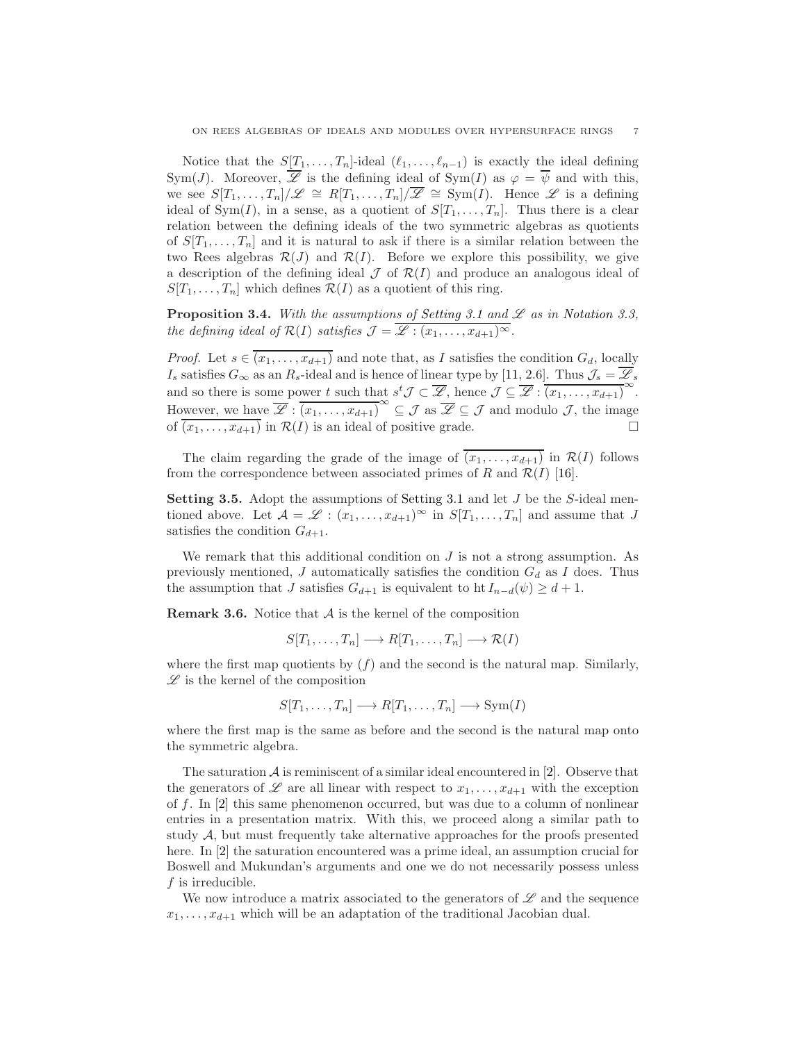Notice that the  $S[T_1, \ldots, T_n]$ -ideal  $(\ell_1, \ldots, \ell_{n-1})$  is exactly the ideal defining Sym(J). Moreover,  $\overline{\mathscr{L}}$  is the defining ideal of Sym(I) as  $\varphi = \overline{\psi}$  and with this, we see  $S[T_1, \ldots, T_n]/\mathscr{L} \cong R[T_1, \ldots, T_n]/\overline{\mathscr{L}} \cong \text{Sym}(I)$ . Hence  $\mathscr{L}$  is a defining ideal of Sym(I), in a sense, as a quotient of  $S[T_1, \ldots, T_n]$ . Thus there is a clear relation between the defining ideals of the two symmetric algebras as quotients of  $S[T_1, \ldots, T_n]$  and it is natural to ask if there is a similar relation between the two Rees algebras  $\mathcal{R}(J)$  and  $\mathcal{R}(I)$ . Before we explore this possibility, we give a description of the defining ideal  $\mathcal J$  of  $\mathcal R(I)$  and produce an analogous ideal of  $S[T_1, \ldots, T_n]$  which defines  $\mathcal{R}(I)$  as a quotient of this ring.

<span id="page-6-1"></span>**Proposition 3.4.** With the assumptions of [Setting 3.1](#page-5-1) and  $\mathscr L$  as in [Notation 3.3,](#page-5-2) the defining ideal of  $\mathcal{R}(I)$  satisfies  $\mathcal{J} = \overline{\mathscr{L} : (x_1, \ldots, x_{d+1})^{\infty}}$ .

*Proof.* Let  $s \in \overline{(x_1, \ldots, x_{d+1})}$  and note that, as I satisfies the condition  $G_d$ , locally  $I_s$  satisfies  $G_{\infty}$  as an  $R_s$ -ideal and is hence of linear type by [\[11,](#page-25-0) 2.6]. Thus  $\mathcal{J}_s = \mathcal{L}_s$ and so there is some power t such that  $s^t \mathcal{J} \subset \overline{\mathcal{L}}$ , hence  $\mathcal{J} \subseteq \overline{\mathcal{L}} : (x_1, \ldots, x_{d+1})^{\infty}$ . However, we have  $\overline{\mathscr{L}}$ :  $\overline{(x_1,\ldots,x_{d+1})}^{\infty} \subseteq \mathcal{J}$  as  $\overline{\mathscr{L}} \subseteq \mathcal{J}$  and modulo  $\mathcal{J}$ , the image of  $\overline{(x_1, \ldots, x_{d+1})}$  in  $\mathcal{R}(I)$  is an ideal of positive grade.

<span id="page-6-0"></span>The claim regarding the grade of the image of  $(x_1, \ldots, x_{d+1})$  in  $\mathcal{R}(I)$  follows from the correspondence between associated primes of R and  $\mathcal{R}(I)$  [\[16\]](#page-25-8).

**Setting 3.5.** Adopt the assumptions of [Setting 3.1](#page-5-1) and let  $J$  be the  $S$ -ideal mentioned above. Let  $\mathcal{A} = \mathcal{L} : (x_1, \ldots, x_{d+1})^{\infty}$  in  $S[T_1, \ldots, T_n]$  and assume that J satisfies the condition  $G_{d+1}$ .

We remark that this additional condition on  $J$  is not a strong assumption. As previously mentioned, J automatically satisfies the condition  $G_d$  as I does. Thus the assumption that J satisfies  $G_{d+1}$  is equivalent to ht  $I_{n-d}(\psi) \geq d+1$ .

<span id="page-6-2"></span>**Remark 3.6.** Notice that  $A$  is the kernel of the composition

$$
S[T_1,\ldots,T_n] \longrightarrow R[T_1,\ldots,T_n] \longrightarrow \mathcal{R}(I)
$$

where the first map quotients by  $(f)$  and the second is the natural map. Similarly,  $\mathscr L$  is the kernel of the composition

$$
S[T_1, ..., T_n] \longrightarrow R[T_1, ..., T_n] \longrightarrow Sym(I)
$$

where the first map is the same as before and the second is the natural map onto the symmetric algebra.

The saturation  $A$  is reminiscent of a similar ideal encountered in [\[2\]](#page-25-7). Observe that the generators of  $\mathscr L$  are all linear with respect to  $x_1, \ldots, x_{d+1}$  with the exception of f. In [\[2\]](#page-25-7) this same phenomenon occurred, but was due to a column of nonlinear entries in a presentation matrix. With this, we proceed along a similar path to study  $A$ , but must frequently take alternative approaches for the proofs presented here. In [\[2\]](#page-25-7) the saturation encountered was a prime ideal, an assumption crucial for Boswell and Mukundan's arguments and one we do not necessarily possess unless  $f$  is irreducible.

We now introduce a matrix associated to the generators of  $\mathscr L$  and the sequence  $x_1, \ldots, x_{d+1}$  which will be an adaptation of the traditional Jacobian dual.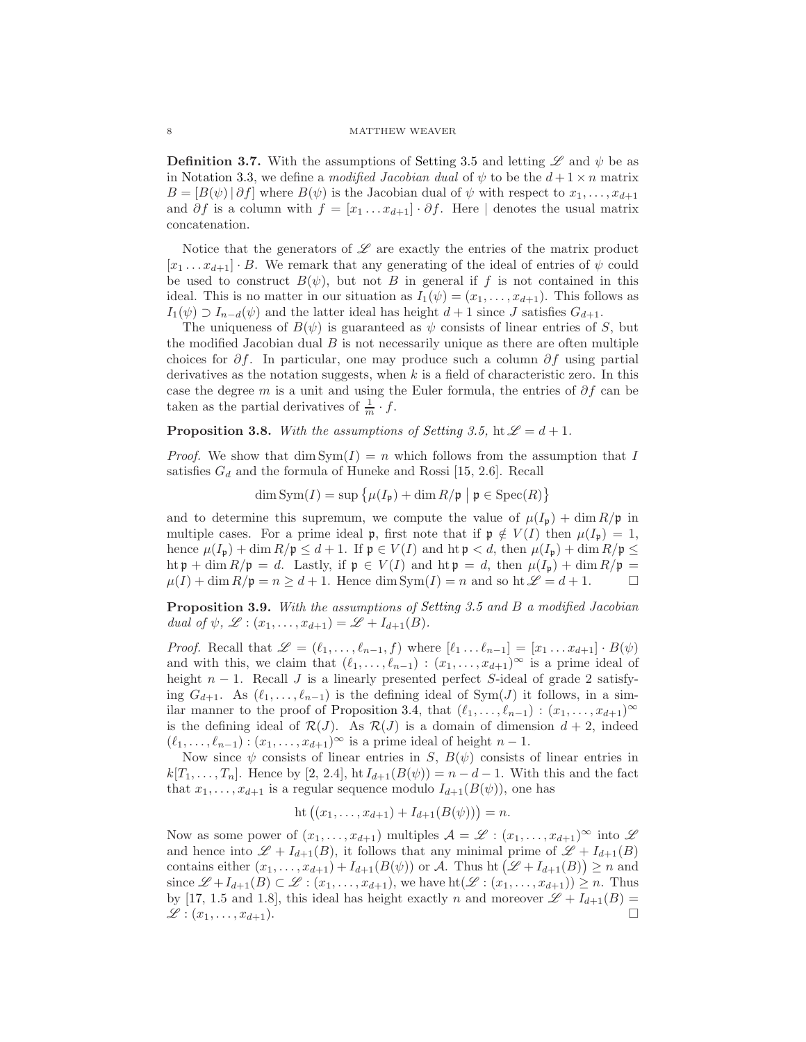**Definition 3.7.** With the assumptions of [Setting 3.5](#page-6-0) and letting  $\mathscr L$  and  $\psi$  be as in [Notation 3.3,](#page-5-2) we define a modified Jacobian dual of  $\psi$  to be the  $d+1\times n$  matrix  $B = [B(\psi) | \partial f]$  where  $B(\psi)$  is the Jacobian dual of  $\psi$  with respect to  $x_1, \ldots, x_{d+1}$ and  $\partial f$  is a column with  $f = [x_1 \dots x_{d+1}] \cdot \partial f$ . Here | denotes the usual matrix concatenation.

Notice that the generators of  $\mathscr L$  are exactly the entries of the matrix product  $[x_1 \ldots x_{d+1}] \cdot B$ . We remark that any generating of the ideal of entries of  $\psi$  could be used to construct  $B(\psi)$ , but not B in general if f is not contained in this ideal. This is no matter in our situation as  $I_1(\psi) = (x_1, \ldots, x_{d+1})$ . This follows as  $I_1(\psi) \supset I_{n-d}(\psi)$  and the latter ideal has height  $d+1$  since J satisfies  $G_{d+1}$ .

The uniqueness of  $B(\psi)$  is guaranteed as  $\psi$  consists of linear entries of S, but the modified Jacobian dual  $B$  is not necessarily unique as there are often multiple choices for  $\partial f$ . In particular, one may produce such a column  $\partial f$  using partial derivatives as the notation suggests, when  $k$  is a field of characteristic zero. In this case the degree m is a unit and using the Euler formula, the entries of  $\partial f$  can be taken as the partial derivatives of  $\frac{1}{m} \cdot f$ .

# **Proposition 3.8.** With the assumptions of [Setting 3.5,](#page-6-0) ht  $\mathscr{L} = d + 1$ .

*Proof.* We show that  $\dim \text{Sym}(I) = n$  which follows from the assumption that I satisfies  $G_d$  and the formula of Huneke and Rossi [\[15,](#page-25-9) 2.6]. Recall

$$
\dim \operatorname{Sym}(I) = \sup \left\{ \mu(I_{\mathfrak{p}}) + \dim R/\mathfrak{p} \mid \mathfrak{p} \in \operatorname{Spec}(R) \right\}
$$

and to determine this supremum, we compute the value of  $\mu(I_p) + \dim R/p$  in multiple cases. For a prime ideal p, first note that if  $\mathfrak{p} \notin V(I)$  then  $\mu(I_{\mathfrak{p}}) = 1$ , hence  $\mu(I_p) + \dim R/p \leq d+1$ . If  $p \in V(I)$  and  $\text{ht } p < d$ , then  $\mu(I_p) + \dim R/p \leq d$ ht  $\mathfrak{p}$  + dim  $R/\mathfrak{p} = d$ . Lastly, if  $\mathfrak{p} \in V(I)$  and ht  $\mathfrak{p} = d$ , then  $\mu(I_{\mathfrak{p}}) + \dim R/\mathfrak{p} = d$  $\mu(I) + \dim R/\mathfrak{p} = n \geq d+1$ . Hence  $\dim \text{Sym}(I) = n$  and so ht  $\mathcal{L} = d+1$ .

Proposition 3.9. With the assumptions of [Setting 3.5](#page-6-0) and B a modified Jacobian dual of  $\psi$ ,  $\mathscr{L}$  :  $(x_1, \ldots, x_{d+1}) = \mathscr{L} + I_{d+1}(B)$ .

*Proof.* Recall that  $\mathscr{L} = (\ell_1, \ldots, \ell_{n-1}, f)$  where  $[\ell_1 \ldots \ell_{n-1}] = [x_1 \ldots x_{d+1}] \cdot B(\psi)$ and with this, we claim that  $(\ell_1, \ldots, \ell_{n-1}) : (x_1, \ldots, x_{d+1})^{\infty}$  is a prime ideal of height  $n-1$ . Recall J is a linearly presented perfect S-ideal of grade 2 satisfying  $G_{d+1}$ . As  $(\ell_1, \ldots, \ell_{n-1})$  is the defining ideal of Sym(J) it follows, in a sim-ilar manner to the proof of [Proposition 3.4,](#page-6-1) that  $(\ell_1, \ldots, \ell_{n-1}) : (x_1, \ldots, x_{d+1})^{\infty}$ is the defining ideal of  $\mathcal{R}(J)$ . As  $\mathcal{R}(J)$  is a domain of dimension  $d+2$ , indeed  $(\ell_1, \ldots, \ell_{n-1}) : (x_1, \ldots, x_{d+1})^{\infty}$  is a prime ideal of height  $n-1$ .

Now since  $\psi$  consists of linear entries in S,  $B(\psi)$  consists of linear entries in  $k[T_1, \ldots, T_n]$ . Hence by [\[2,](#page-25-7) 2.4], ht  $I_{d+1}(B(\psi)) = n - d - 1$ . With this and the fact that  $x_1, \ldots, x_{d+1}$  is a regular sequence modulo  $I_{d+1}(B(\psi))$ , one has

$$
ht ((x_1, ..., x_{d+1}) + I_{d+1}(B(\psi))) = n.
$$

Now as some power of  $(x_1, \ldots, x_{d+1})$  multiples  $\mathcal{A} = \mathscr{L} : (x_1, \ldots, x_{d+1})^{\infty}$  into  $\mathscr{L}$ and hence into  $\mathscr{L} + I_{d+1}(B)$ , it follows that any minimal prime of  $\mathscr{L} + I_{d+1}(B)$ contains either  $(x_1, \ldots, x_{d+1}) + I_{d+1}(B(\psi))$  or A. Thus ht  $(\mathscr{L} + I_{d+1}(B)) \ge n$  and since  $\mathscr{L} + I_{d+1}(B) \subset \mathscr{L} : (x_1, \ldots, x_{d+1}),$  we have  $\mathrm{ht}(\mathscr{L} : (x_1, \ldots, x_{d+1})) \geq n$ . Thus by [\[17,](#page-25-10) 1.5 and 1.8], this ideal has height exactly n and moreover  $\mathscr{L} + I_{d+1}(B) =$  $\mathscr{L}: (x_1, \ldots, x_{d+1}).$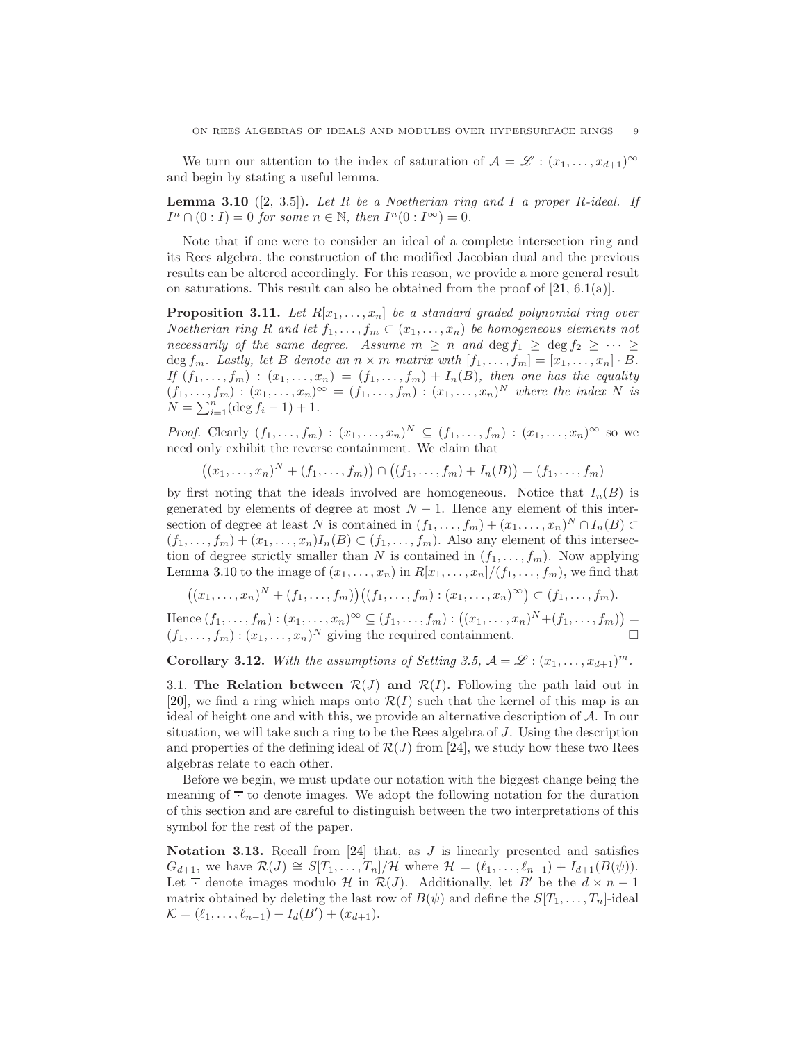<span id="page-8-0"></span>We turn our attention to the index of saturation of  $\mathcal{A} = \mathscr{L} : (x_1, \ldots, x_{d+1})^{\infty}$ and begin by stating a useful lemma.

**Lemma 3.10** ([\[2,](#page-25-7) 3.5]). Let R be a Noetherian ring and I a proper R-ideal. If  $I^n \cap (0:I) = 0$  for some  $n \in \mathbb{N}$ , then  $I^n(0:I^{\infty}) = 0$ .

Note that if one were to consider an ideal of a complete intersection ring and its Rees algebra, the construction of the modified Jacobian dual and the previous results can be altered accordingly. For this reason, we provide a more general result on saturations. This result can also be obtained from the proof of  $[21, 6.1(a)]$ .

**Proposition 3.11.** Let  $R[x_1, \ldots, x_n]$  be a standard graded polynomial ring over Noetherian ring R and let  $f_1, \ldots, f_m \subset (x_1, \ldots, x_n)$  be homogeneous elements not necessarily of the same degree. Assume  $m \geq n$  and  $\deg f_1 \geq \deg f_2 \geq \cdots \geq$ deg  $f_m$ . Lastly, let B denote an  $n \times m$  matrix with  $[f_1, \ldots, f_m] = [x_1, \ldots, x_n] \cdot B$ . If  $(f_1,\ldots,f_m)$  :  $(x_1,\ldots,x_n) = (f_1,\ldots,f_m) + I_n(B)$ , then one has the equality  $(f_1,\ldots,f_m) : (x_1,\ldots,x_n)^\infty = (f_1,\ldots,f_m) : (x_1,\ldots,x_n)^N$  where the index N is  $N = \sum_{i=1}^{n} (\deg f_i - 1) + 1.$ 

*Proof.* Clearly  $(f_1, \ldots, f_m) : (x_1, \ldots, x_n)^N \subseteq (f_1, \ldots, f_m) : (x_1, \ldots, x_n)^\infty$  so we need only exhibit the reverse containment. We claim that

 $((x_1, \ldots, x_n)^N + (f_1, \ldots, f_m)) \cap ((f_1, \ldots, f_m) + I_n(B)) = (f_1, \ldots, f_m)$ 

by first noting that the ideals involved are homogeneous. Notice that  $I_n(B)$  is generated by elements of degree at most  $N-1$ . Hence any element of this intersection of degree at least N is contained in  $(f_1, \ldots, f_m) + (x_1, \ldots, x_n)^N \cap I_n(B) \subset$  $(f_1, \ldots, f_m) + (x_1, \ldots, x_n)I_n(B) \subset (f_1, \ldots, f_m)$ . Also any element of this intersection of degree strictly smaller than N is contained in  $(f_1, \ldots, f_m)$ . Now applying [Lemma 3.10](#page-8-0) to the image of  $(x_1, \ldots, x_n)$  in  $R[x_1, \ldots, x_n]/(f_1, \ldots, f_m)$ , we find that

$$
((x_1,\ldots,x_n)^N+(f_1,\ldots,f_m))((f_1,\ldots,f_m):(x_1,\ldots,x_n)^\infty)\subset (f_1,\ldots,f_m).
$$

Hence  $(f_1, ..., f_m) : (x_1, ..., x_n)^\infty \subseteq (f_1, ..., f_m) : ((x_1, ..., x_n)^N + (f_1, ..., f_m)) =$  $(f_1, \ldots, f_m) : (x_1, \ldots, x_n)^N$  giving the required containment.

<span id="page-8-2"></span>**Corollary 3.12.** With the assumptions of [Setting 3.5,](#page-6-0)  $A = \mathscr{L} : (x_1, \ldots, x_{d+1})^m$ .

3.1. The Relation between  $\mathcal{R}(J)$  and  $\mathcal{R}(I)$ . Following the path laid out in [\[20\]](#page-26-6), we find a ring which maps onto  $\mathcal{R}(I)$  such that the kernel of this map is an ideal of height one and with this, we provide an alternative description of A. In our situation, we will take such a ring to be the Rees algebra of J. Using the description and properties of the defining ideal of  $\mathcal{R}(J)$  from [\[24\]](#page-26-0), we study how these two Rees algebras relate to each other.

Before we begin, we must update our notation with the biggest change being the meaning of  $\overline{\cdot}$  to denote images. We adopt the following notation for the duration of this section and are careful to distinguish between the two interpretations of this symbol for the rest of the paper.

<span id="page-8-3"></span><span id="page-8-1"></span>Notation 3.13. Recall from  $[24]$  that, as  $J$  is linearly presented and satisfies  $G_{d+1}$ , we have  $\mathcal{R}(J) \cong S[T_1, \ldots, T_n]/\mathcal{H}$  where  $\mathcal{H} = (\ell_1, \ldots, \ell_{n-1}) + I_{d+1}(B(\psi)).$ Let  $\overline{\cdot}$  denote images modulo H in  $\mathcal{R}(J)$ . Additionally, let B' be the  $d \times n - 1$ matrix obtained by deleting the last row of  $B(\psi)$  and define the  $S[T_1, \ldots, T_n]$ -ideal  $\mathcal{K} = (\ell_1, \ldots, \ell_{n-1}) + I_d(B') + (x_{d+1}).$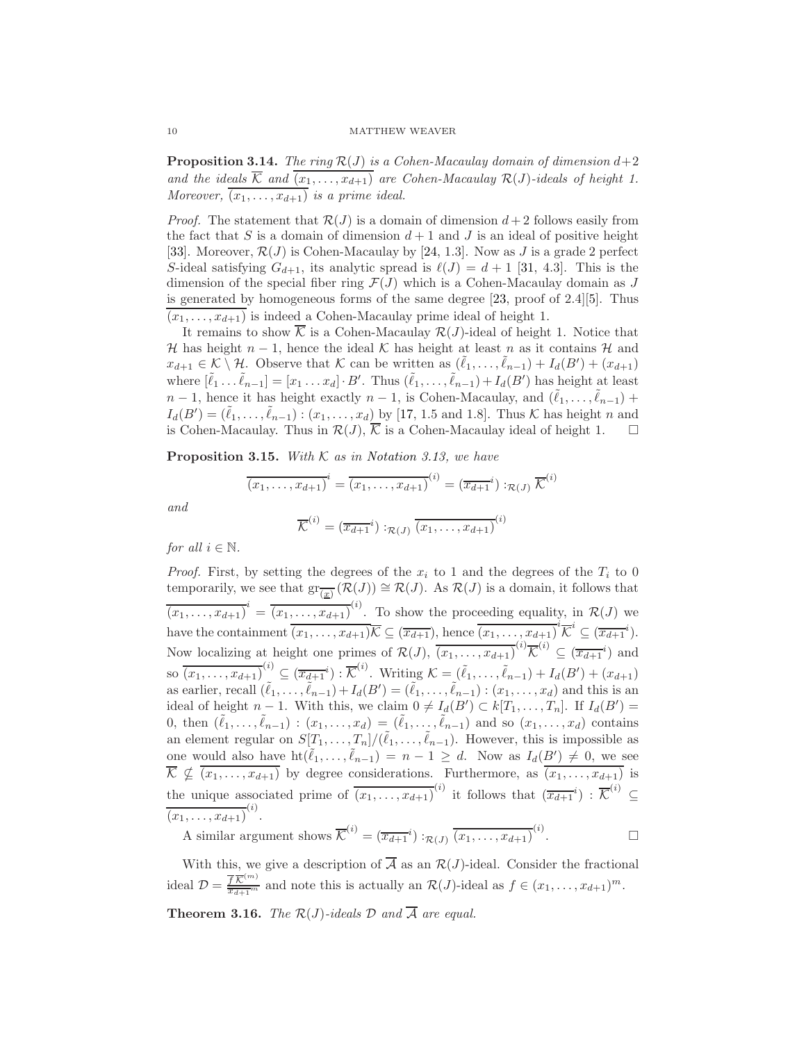**Proposition 3.14.** The ring  $\mathcal{R}(J)$  is a Cohen-Macaulay domain of dimension  $d+2$ and the ideals  $\overline{\mathcal{K}}$  and  $\overline{(x_1,\ldots,x_{d+1})}$  are Cohen-Macaulay  $\mathcal{R}(J)$ -ideals of height 1. Moreover,  $\overline{(x_1,\ldots,x_{d+1})}$  is a prime ideal.

*Proof.* The statement that  $\mathcal{R}(J)$  is a domain of dimension  $d+2$  follows easily from the fact that S is a domain of dimension  $d+1$  and J is an ideal of positive height [\[33\]](#page-26-10). Moreover,  $\mathcal{R}(J)$  is Cohen-Macaulay by [\[24,](#page-26-0) 1.3]. Now as J is a grade 2 perfect S-ideal satisfying  $G_{d+1}$ , its analytic spread is  $\ell(J) = d+1$  [\[31,](#page-26-3) 4.3]. This is the dimension of the special fiber ring  $\mathcal{F}(J)$  which is a Cohen-Macaulay domain as J is generated by homogeneous forms of the same degree [\[23,](#page-26-2) proof of 2.4][\[5\]](#page-25-11). Thus  $(x_1, \ldots, x_{d+1})$  is indeed a Cohen-Macaulay prime ideal of height 1.

It remains to show  $\overline{\mathcal{K}}$  is a Cohen-Macaulay  $\mathcal{R}(J)$ -ideal of height 1. Notice that H has height  $n-1$ , hence the ideal K has height at least n as it contains H and  $x_{d+1} \in \mathcal{K} \setminus \mathcal{H}$ . Observe that  $\mathcal{K}$  can be written as  $(\tilde{\ell}_1, \ldots, \tilde{\ell}_{n-1}) + I_d(B') + (x_{d+1})$ where  $[\tilde{\ell}_1 \dots \tilde{\ell}_{n-1}] = [x_1 \dots x_d] \cdot B'$ . Thus  $(\tilde{\ell}_1, \dots, \tilde{\ell}_{n-1}) + I_d(B')$  has height at least  $n-1$ , hence it has height exactly  $n-1$ , is Cohen-Macaulay, and  $(\tilde{\ell}_1, \ldots, \tilde{\ell}_{n-1})$  +  $I_d(B') = (\tilde{\ell}_1,\ldots,\tilde{\ell}_{n-1}) : (x_1,\ldots,x_d)$  by [\[17,](#page-25-10) 1.5 and 1.8]. Thus K has height n and is Cohen-Macaulay. Thus in  $\mathcal{R}(J)$ ,  $\overline{\mathcal{K}}$  is a Cohen-Macaulay ideal of height 1.  $\square$ 

<span id="page-9-0"></span>**Proposition 3.15.** With  $K$  as in [Notation 3.13,](#page-8-1) we have

$$
\overline{(x_1, \ldots, x_{d+1})}^i = \overline{(x_1, \ldots, x_{d+1})}^{(i)} = (\overline{x_{d+1}}^i) :_{\mathcal{R}(J)} \overline{\mathcal{K}}^{(i)}
$$

$$
\overline{\mathcal{K}}^{(i)} = (\overline{x_{d+1}}^i) :_{\mathcal{R}(J)} \overline{(x_1, \ldots, x_{d+1})}^{(i)}
$$

and

for all 
$$
i \in \mathbb{N}
$$
.

*Proof.* First, by setting the degrees of the  $x_i$  to 1 and the degrees of the  $T_i$  to 0 temporarily, we see that  $gr_{\overline{(x)}}(\mathcal{R}(J)) \cong \mathcal{R}(J)$ . As  $\mathcal{R}(J)$  is a domain, it follows that  $\overline{(x_1,\ldots,x_{d+1})}^i = \overline{(x_1,\ldots,x_{d+1})}^{(i)}$ . To show the proceeding equality, in  $\mathcal{R}(J)$  we have the containment  $\overline{(x_1, \ldots, x_{d+1})\mathcal{K}} \subseteq (\overline{x_{d+1}})$ , hence  $\overline{(x_1, \ldots, x_{d+1})}^i \mathcal{K}^i \subseteq (\overline{x_{d+1}}^i)$ . Now localizing at height one primes of  $\mathcal{R}(J)$ ,  $\overline{(x_1,\ldots,x_{d+1})}^{(i)}\overline{\mathcal{K}}^{(i)} \subseteq \overline{(x_{d+1}}^{i})$  and so  $\overline{(x_1, ..., x_{d+1})}^{(i)} \subseteq (\overline{x_{d+1}}^{i}) : \overline{\mathcal{K}}^{(i)}$ . Writing  $\mathcal{K} = (\tilde{\ell}_1, ..., \tilde{\ell}_{n-1}) + I_d(B') + (x_{d+1})$ as earlier, recall  $(\tilde{\ell}_1,\ldots,\tilde{\ell}_{n-1})+I_d(B')=(\tilde{\ell}_1,\ldots,\tilde{\ell}_{n-1}):(x_1,\ldots,x_d)$  and this is an ideal of height  $n-1$ . With this, we claim  $0 \neq I_d(B') \subset k[T_1, \ldots, T_n]$ . If  $I_d(B') =$ 0, then  $(\tilde{\ell}_1,\ldots,\tilde{\ell}_{n-1})$ :  $(x_1,\ldots,x_d)=(\tilde{\ell}_1,\ldots,\tilde{\ell}_{n-1})$  and so  $(x_1,\ldots,x_d)$  contains an element regular on  $S[T_1, \ldots, T_n]/(\tilde{\ell}_1, \ldots, \tilde{\ell}_{n-1})$ . However, this is impossible as one would also have  $\mathrm{ht}(\tilde{\ell}_1,\ldots,\tilde{\ell}_{n-1})=n-1\geq d.$  Now as  $I_d(B')\neq 0$ , we see  $\mathcal{K} \nsubseteq (x_1, \ldots, x_{d+1})$  by degree considerations. Furthermore, as  $(x_1, \ldots, x_{d+1})$  is the unique associated prime of  $\overline{(x_1,\ldots,x_{d+1})}^{(i)}$  it follows that  $(\overline{x_{d+1}}^i) : \overline{\mathcal{K}}^{(i)} \subseteq$  $\overline{(x_1,\ldots,x_{d+1})}^{(i)}$ .

A similar argument shows  $\overline{\mathcal{K}}^{(i)} = (\overline{x_{d+1}}^i) :_{\mathcal{R}(J)} (\overline{x_1, \ldots, x_{d+1}})^{(i)}$ . — П

With this, we give a description of  $\overline{A}$  as an  $\mathcal{R}(J)$ -ideal. Consider the fractional ideal  $\mathcal{D} = \frac{\overline{f} \overline{K}^{(m)}}{x_{d+1}^m}$  and note this is actually an  $\mathcal{R}(J)$ -ideal as  $f \in (x_1, \ldots, x_{d+1})^m$ .

<span id="page-9-1"></span>**Theorem 3.16.** The  $\mathcal{R}(J)$ -ideals  $\mathcal{D}$  and  $\overline{\mathcal{A}}$  are equal.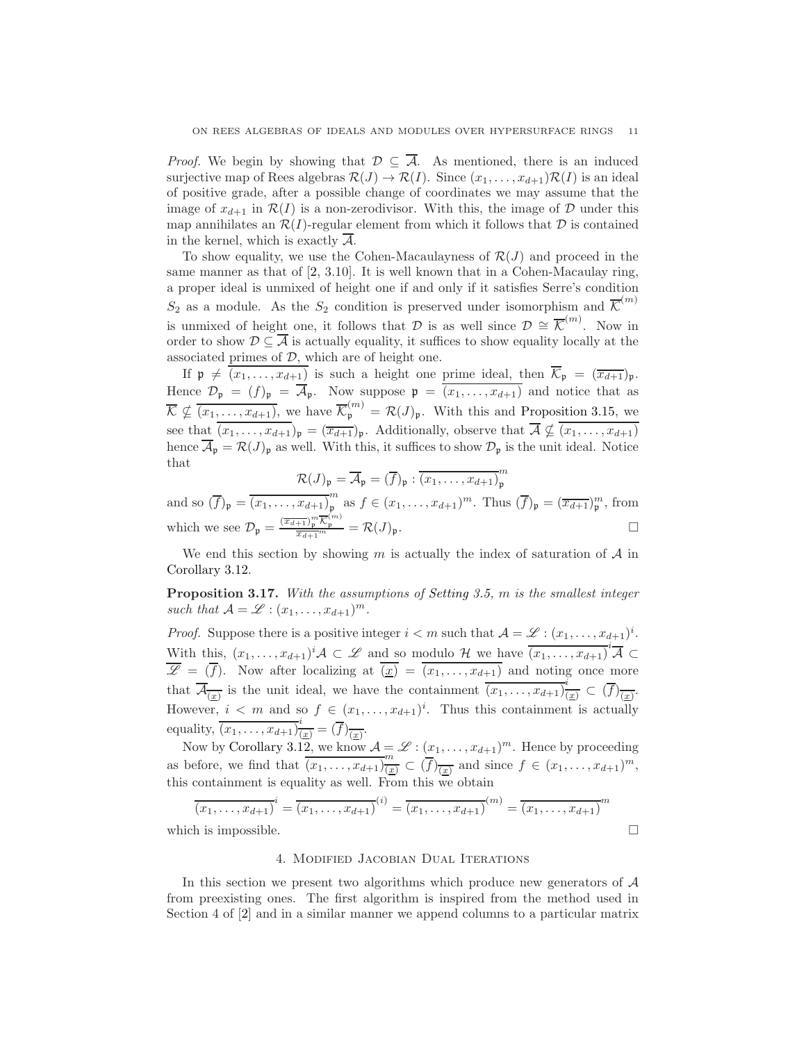*Proof.* We begin by showing that  $\mathcal{D} \subseteq \overline{\mathcal{A}}$ . As mentioned, there is an induced surjective map of Rees algebras  $\mathcal{R}(J) \to \mathcal{R}(I)$ . Since  $(x_1, \ldots, x_{d+1})\mathcal{R}(I)$  is an ideal of positive grade, after a possible change of coordinates we may assume that the image of  $x_{d+1}$  in  $\mathcal{R}(I)$  is a non-zerodivisor. With this, the image of  $\mathcal D$  under this map annihilates an  $\mathcal{R}(I)$ -regular element from which it follows that  $\mathcal D$  is contained in the kernel, which is exactly  $\overline{\mathcal{A}}$ .

To show equality, we use the Cohen-Macaulayness of  $\mathcal{R}(J)$  and proceed in the same manner as that of [\[2,](#page-25-7) 3.10]. It is well known that in a Cohen-Macaulay ring, a proper ideal is unmixed of height one if and only if it satisfies Serre's condition  $S_2$  as a module. As the  $S_2$  condition is preserved under isomorphism and  $\overline{\mathcal{K}}^{(m)}$ is unmixed of height one, it follows that  $\mathcal D$  is as well since  $\mathcal D \cong \overline{\mathcal K}^{(m)}$ . Now in order to show  $\mathcal{D} \subseteq \overline{\mathcal{A}}$  is actually equality, it suffices to show equality locally at the associated primes of  $D$ , which are of height one.

If  $\mathfrak{p} \neq \overline{(x_1, \ldots, x_{d+1})}$  is such a height one prime ideal, then  $\overline{\mathcal{K}}_{\mathfrak{p}} = (\overline{x_{d+1}})_{\mathfrak{p}}$ . Hence  $\mathcal{D}_{\mathfrak{p}} = (f)_{\mathfrak{p}} = \overline{\mathcal{A}}_{\mathfrak{p}}$ . Now suppose  $\mathfrak{p} = \overline{(x_1, \ldots, x_{d+1})}$  and notice that as  $\overline{\mathcal{K}} \nsubseteq \overline{(x_1,\ldots,x_{d+1})}$ , we have  $\overline{\mathcal{K}}_{\mathfrak{p}}^{(m)} = \mathcal{R}(J)_{\mathfrak{p}}$ . With this and [Proposition 3.15,](#page-9-0) we see that  $\overline{(x_1,\ldots,x_{d+1})}_\mathfrak{p} = (\overline{x_{d+1}})_\mathfrak{p}$ . Additionally, observe that  $\overline{\mathcal{A}} \nsubseteq \overline{(x_1,\ldots,x_{d+1})}$ hence  $\overline{A}_{\mathfrak{p}} = \mathcal{R}(J)_{\mathfrak{p}}$  as well. With this, it suffices to show  $\mathcal{D}_{\mathfrak{p}}$  is the unit ideal. Notice that

$$
\mathcal{R}(J)_{\mathfrak{p}} = \overline{\mathcal{A}}_{\mathfrak{p}} = (\overline{f})_{\mathfrak{p}} : \overline{(x_1, \ldots, x_{d+1})}_{\mathfrak{p}}^m
$$

and so  $(\overline{f})_{\mathfrak{p}} = \overline{(x_1, \ldots, x_{d+1})}_{\mathfrak{p}}^m$  $_p^m$  as  $f \in (x_1, \ldots, x_{d+1})^m$ . Thus  $(\overline{f})_{\mathfrak{p}} = (\overline{x_{d+1}})_p^m$ , from which we see  $\mathcal{D}_{\mathfrak{p}} = \frac{(\overline{x_{d+1}})_p^m \overline{\mathcal{K}}_p^{(m)}}{\overline{x_{d+1}}^m} = \mathcal{R}(J)_{\mathfrak{p}}.$ 

We end this section by showing m is actually the index of saturation of  $A$  in [Corollary 3.12.](#page-8-2)

Proposition 3.17. With the assumptions of [Setting 3.5,](#page-6-0) m is the smallest integer such that  $\mathcal{A} = \mathcal{L} : (x_1, \ldots, x_{d+1})^m$ .

*Proof.* Suppose there is a positive integer  $i < m$  such that  $A = \mathscr{L} : (x_1, \ldots, x_{d+1})^i$ . With this,  $(x_1, \ldots, x_{d+1})^i \mathcal{A} \subset \mathcal{L}$  and so modulo H we have  $\overline{(x_1, \ldots, x_{d+1})}^i \overline{\mathcal{A}} \subset$  $\overline{\mathscr{L}} = (\overline{f})$ . Now after localizing at  $\overline{(\underline{x})} = \overline{(x_1, \ldots, x_{d+1})}$  and noting once more that  $\overline{\mathcal{A}_{(\underline{x})}}$  is the unit ideal, we have the containment  $\overline{(x_1,\ldots,x_{d+1})}_{(\underline{x})}^i \subset (\overline{f})_{\overline{(\underline{x})}}$ . However,  $i < m$  and so  $f \in (x_1, \ldots, x_{d+1})^i$ . Thus this containment is actually equality,  $\overline{(x_1,\ldots,x_{d+1})^i_{(\underline{x})}} = (\overline{f})_{\overline{(\underline{x})}}.$ 

Now by [Corollary 3.12,](#page-8-2) we know  $\mathcal{A} = \mathscr{L} : (x_1, \ldots, x_{d+1})^m$ . Hence by proceeding as before, we find that  $\overline{(x_1, \ldots, x_{d+1})^m_{(\underline{x})}} \subset (\overline{f})^m_{(\underline{x})}$  and since  $f \in (x_1, \ldots, x_{d+1})^m$ , this containment is equality as well. From this we obtain

$$
\overline{(x_1, \dots, x_{d+1})}^i = \overline{(x_1, \dots, x_{d+1})}^{(i)} = \overline{(x_1, \dots, x_{d+1})}^{(m)} = \overline{(x_1, \dots, x_{d+1})}^m
$$
\nwhich is impossible.

<span id="page-10-0"></span>

# 4. Modified Jacobian Dual Iterations

In this section we present two algorithms which produce new generators of  $A$ from preexisting ones. The first algorithm is inspired from the method used in Section 4 of [\[2\]](#page-25-7) and in a similar manner we append columns to a particular matrix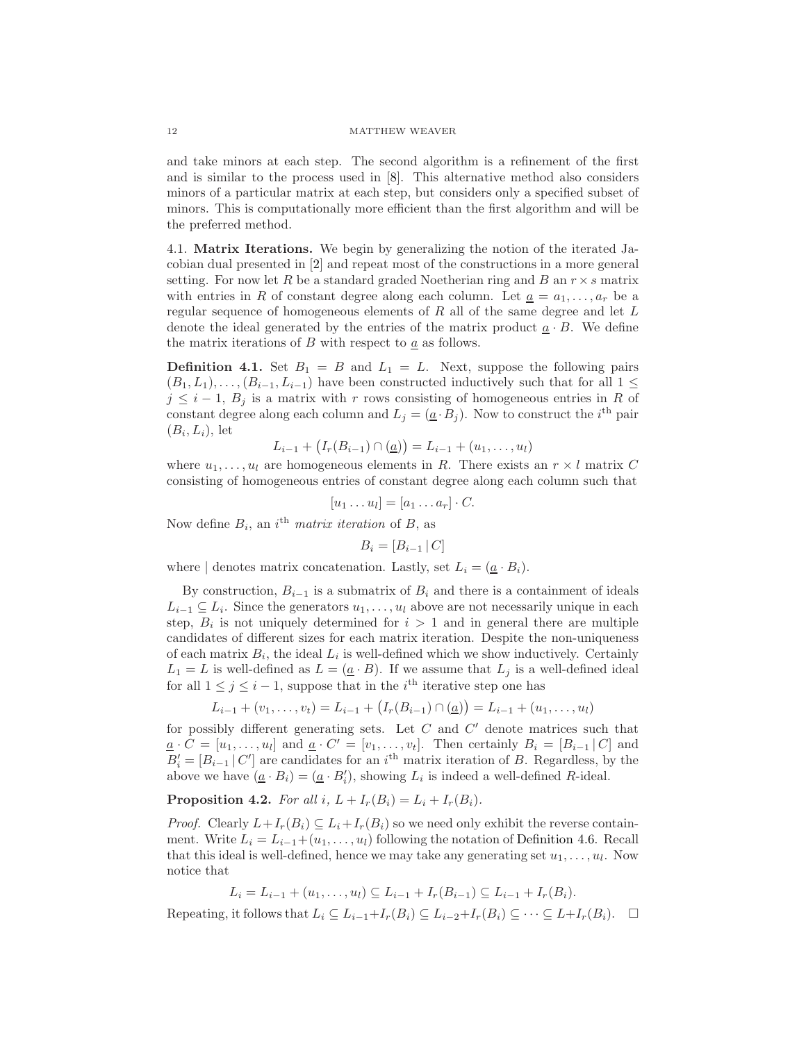and take minors at each step. The second algorithm is a refinement of the first and is similar to the process used in [\[8\]](#page-25-2). This alternative method also considers minors of a particular matrix at each step, but considers only a specified subset of minors. This is computationally more efficient than the first algorithm and will be the preferred method.

4.1. Matrix Iterations. We begin by generalizing the notion of the iterated Jacobian dual presented in [\[2\]](#page-25-7) and repeat most of the constructions in a more general setting. For now let R be a standard graded Noetherian ring and B an  $r \times s$  matrix with entries in R of constant degree along each column. Let  $\underline{a} = a_1, \ldots, a_r$  be a regular sequence of homogeneous elements of  $R$  all of the same degree and let  $L$ denote the ideal generated by the entries of the matrix product  $a \cdot B$ . We define the matrix iterations of B with respect to  $\underline{a}$  as follows.

<span id="page-11-1"></span>**Definition 4.1.** Set  $B_1 = B$  and  $L_1 = L$ . Next, suppose the following pairs  $(B_1, L_1), \ldots, (B_{i-1}, L_{i-1})$  have been constructed inductively such that for all  $1 \leq$  $j \leq i-1$ ,  $B_i$  is a matrix with r rows consisting of homogeneous entries in R of constant degree along each column and  $L_j = (\underline{a} \cdot B_j)$ . Now to construct the *i*<sup>th</sup> pair  $(B_i, L_i)$ , let

$$
L_{i-1} + (I_r(B_{i-1}) \cap (\underline{a})) = L_{i-1} + (u_1, \ldots, u_l)
$$

where  $u_1, \ldots, u_l$  are homogeneous elements in R. There exists an  $r \times l$  matrix C consisting of homogeneous entries of constant degree along each column such that

$$
[u_1 \dots u_l] = [a_1 \dots a_r] \cdot C.
$$

Now define  $B_i$ , an i<sup>th</sup> matrix iteration of B, as

 $B_i = [B_{i-1} | C]$ 

where | denotes matrix concatenation. Lastly, set  $L_i = (\underline{a} \cdot B_i)$ .

By construction,  $B_{i-1}$  is a submatrix of  $B_i$  and there is a containment of ideals  $L_{i-1} \subseteq L_i$ . Since the generators  $u_1, \ldots, u_l$  above are not necessarily unique in each step,  $B_i$  is not uniquely determined for  $i > 1$  and in general there are multiple candidates of different sizes for each matrix iteration. Despite the non-uniqueness of each matrix  $B_i$ , the ideal  $L_i$  is well-defined which we show inductively. Certainly  $L_1 = L$  is well-defined as  $L = (\underline{a} \cdot B)$ . If we assume that  $L_j$  is a well-defined ideal for all  $1 \leq j \leq i-1$ , suppose that in the *i*<sup>th</sup> iterative step one has

$$
L_{i-1} + (v_1, \ldots, v_t) = L_{i-1} + (I_r(B_{i-1}) \cap \underline{a}) = L_{i-1} + (u_1, \ldots, u_t)
$$

for possibly different generating sets. Let  $C$  and  $C'$  denote matrices such that  $\underline{a} \cdot C = [u_1, \ldots, u_l]$  and  $\underline{a} \cdot C' = [v_1, \ldots, v_t]$ . Then certainly  $B_i = [B_{i-1} | C]$  and  $B'_{i} = [B_{i-1} | C']$  are candidates for an i<sup>th</sup> matrix iteration of B. Regardless, by the above we have  $(\underline{a} \cdot B_i) = (\underline{a} \cdot B'_i)$ , showing  $L_i$  is indeed a well-defined R-ideal.

<span id="page-11-0"></span>**Proposition 4.2.** For all i,  $L + I_r(B_i) = L_i + I_r(B_i)$ .

*Proof.* Clearly  $L+I_r(B_i) \subseteq L_i+I_r(B_i)$  so we need only exhibit the reverse containment. Write  $L_i = L_{i-1}+(u_1,\ldots,u_l)$  following the notation of [Definition 4.6.](#page-12-0) Recall that this ideal is well-defined, hence we may take any generating set  $u_1, \ldots, u_l$ . Now notice that

$$
L_i = L_{i-1} + (u_1, \ldots, u_l) \subseteq L_{i-1} + I_r(B_{i-1}) \subseteq L_{i-1} + I_r(B_i).
$$

Repeating, it follows that  $L_i \subseteq L_{i-1}+I_r(B_i) \subseteq L_{i-2}+I_r(B_i) \subseteq \cdots \subseteq L+I_r(B_i)$ .  $\Box$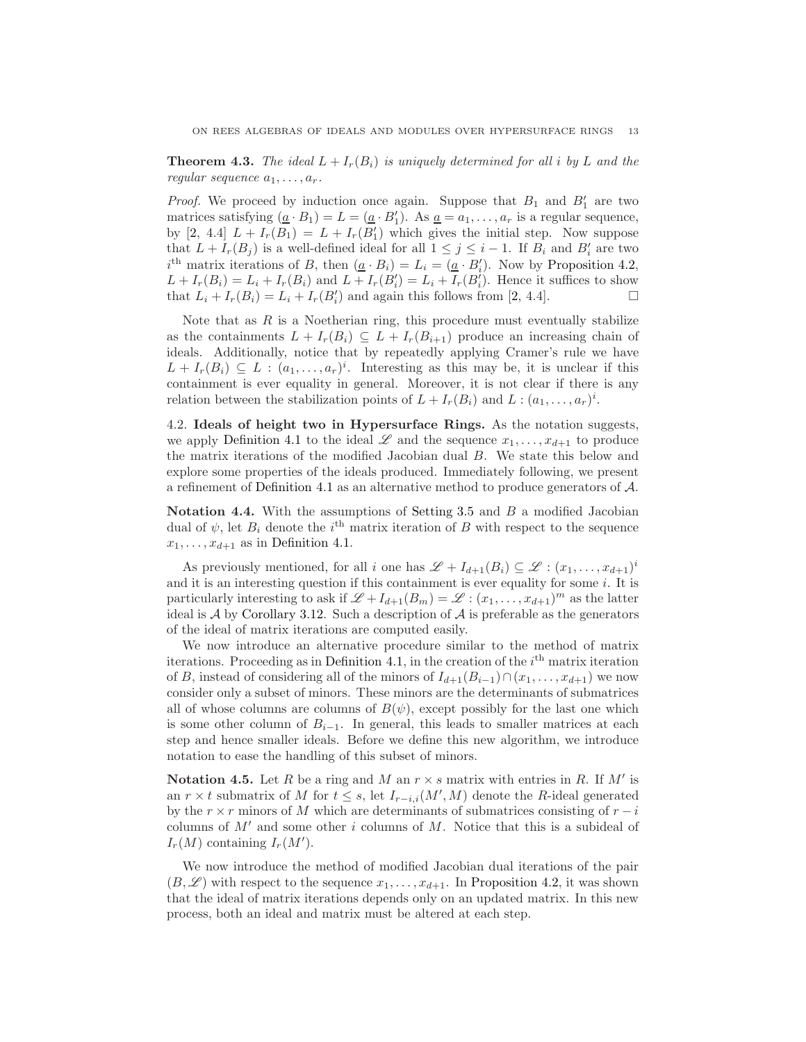**Theorem 4.3.** The ideal  $L + I_r(B_i)$  is uniquely determined for all i by L and the regular sequence  $a_1, \ldots, a_r$ .

*Proof.* We proceed by induction once again. Suppose that  $B_1$  and  $B'_1$  are two matrices satisfying  $(\underline{a} \cdot B_1) = L = (\underline{a} \cdot B'_1)$ . As  $\underline{a} = a_1, \ldots, a_r$  is a regular sequence, by [\[2,](#page-25-7) 4.4]  $L + I_r(B_1) = L + I_r(B'_1)$  which gives the initial step. Now suppose that  $L + I_r(B_j)$  is a well-defined ideal for all  $1 \leq j \leq i - 1$ . If  $B_i$  and  $B'_i$  are two  $i^{\text{th}}$  matrix iterations of B, then  $(\underline{a} \cdot B_i) = L_i = (\underline{a} \cdot B'_i)$ . Now by [Proposition 4.2,](#page-11-0)  $L + I_r(B_i) = L_i + I_r(B_i)$  and  $L + I_r(B'_i) = L_i + I_r(B'_i)$ . Hence it suffices to show that  $L_i + I_r(B_i) = L_i + I_r(B'_i)$  and again this follows from [\[2,](#page-25-7) 4.4].

Note that as  $R$  is a Noetherian ring, this procedure must eventually stabilize as the containments  $L + I_r(B_i) \subseteq L + I_r(B_{i+1})$  produce an increasing chain of ideals. Additionally, notice that by repeatedly applying Cramer's rule we have  $L + I_r(B_i) \subseteq L : (a_1, \ldots, a_r)^i$ . Interesting as this may be, it is unclear if this containment is ever equality in general. Moreover, it is not clear if there is any relation between the stabilization points of  $L + I_r(B_i)$  and  $L : (a_1, \ldots, a_r)^i$ .

4.2. Ideals of height two in Hypersurface Rings. As the notation suggests, we apply [Definition 4.1](#page-11-1) to the ideal  $\mathscr L$  and the sequence  $x_1, \ldots, x_{d+1}$  to produce the matrix iterations of the modified Jacobian dual B. We state this below and explore some properties of the ideals produced. Immediately following, we present a refinement of [Definition 4.1](#page-11-1) as an alternative method to produce generators of A.

Notation 4.4. With the assumptions of [Setting 3.5](#page-6-0) and  $B$  a modified Jacobian dual of  $\psi$ , let  $B_i$  denote the *i*<sup>th</sup> matrix iteration of B with respect to the sequence  $x_1, \ldots, x_{d+1}$  as in [Definition 4.1.](#page-11-1)

As previously mentioned, for all i one has  $\mathscr{L} + I_{d+1}(B_i) \subseteq \mathscr{L} : (x_1, \ldots, x_{d+1})^i$ and it is an interesting question if this containment is ever equality for some  $i$ . It is particularly interesting to ask if  $\mathscr{L} + I_{d+1}(B_m) = \mathscr{L} : (x_1, \ldots, x_{d+1})^m$  as the latter ideal is  $A$  by [Corollary 3.12.](#page-8-2) Such a description of  $A$  is preferable as the generators of the ideal of matrix iterations are computed easily.

We now introduce an alternative procedure similar to the method of matrix iterations. Proceeding as in [Definition 4.1,](#page-11-1) in the creation of the  $i<sup>th</sup>$  matrix iteration of B, instead of considering all of the minors of  $I_{d+1}(B_{i-1}) \cap (x_1, \ldots, x_{d+1})$  we now consider only a subset of minors. These minors are the determinants of submatrices all of whose columns are columns of  $B(\psi)$ , except possibly for the last one which is some other column of  $B_{i-1}$ . In general, this leads to smaller matrices at each step and hence smaller ideals. Before we define this new algorithm, we introduce notation to ease the handling of this subset of minors.

**Notation 4.5.** Let R be a ring and M an  $r \times s$  matrix with entries in R. If M' is an  $r \times t$  submatrix of M for  $t \leq s$ , let  $I_{r-i,i}(M',M)$  denote the R-ideal generated by the  $r \times r$  minors of M which are determinants of submatrices consisting of  $r - i$ columns of  $M'$  and some other i columns of M. Notice that this is a subideal of  $I_r(M)$  containing  $I_r(M')$ .

<span id="page-12-0"></span>We now introduce the method of modified Jacobian dual iterations of the pair  $(B, \mathscr{L})$  with respect to the sequence  $x_1, \ldots, x_{d+1}$ . In [Proposition 4.2,](#page-11-0) it was shown that the ideal of matrix iterations depends only on an updated matrix. In this new process, both an ideal and matrix must be altered at each step.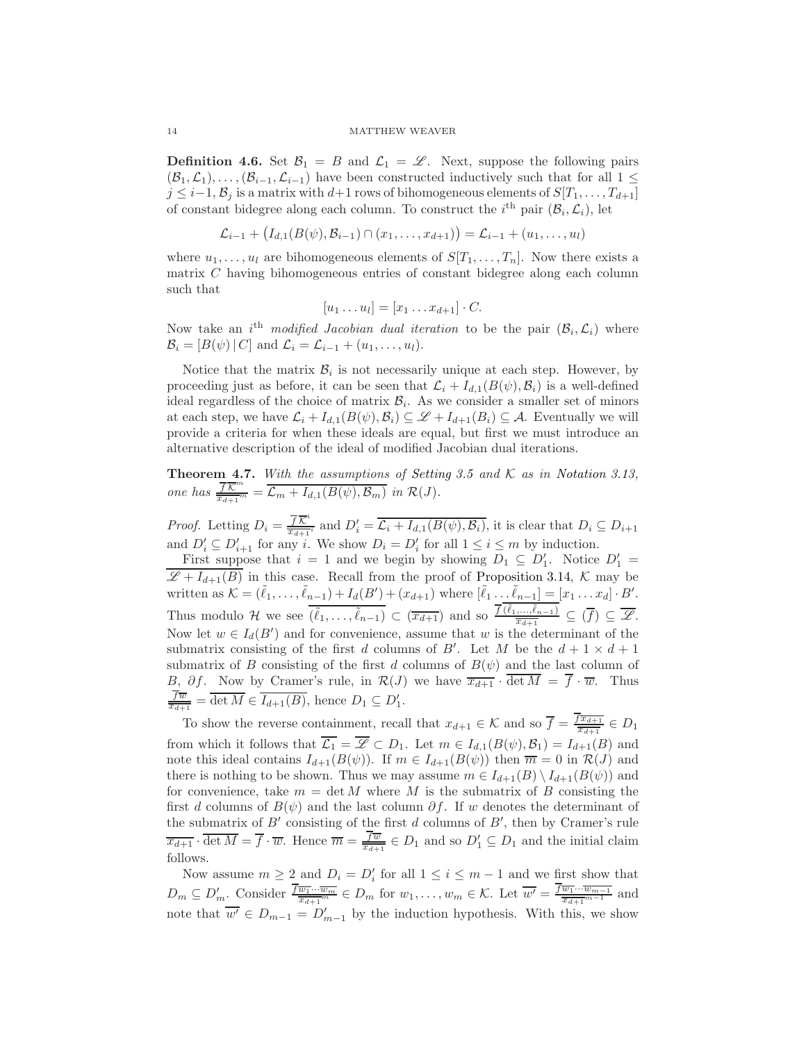**Definition 4.6.** Set  $\mathcal{B}_1 = B$  and  $\mathcal{L}_1 = \mathcal{L}$ . Next, suppose the following pairs  $(\mathcal{B}_1,\mathcal{L}_1),\ldots,(\mathcal{B}_{i-1},\mathcal{L}_{i-1})$  have been constructed inductively such that for all  $1\leq$  $j \leq i-1, \mathcal{B}_i$  is a matrix with  $d+1$  rows of bihomogeneous elements of  $S[T_1, \ldots, T_{d+1}]$ of constant bidegree along each column. To construct the *i*<sup>th</sup> pair  $(\mathcal{B}_i, \mathcal{L}_i)$ , let

$$
\mathcal{L}_{i-1} + (I_{d,1}(B(\psi), \mathcal{B}_{i-1}) \cap (x_1, \ldots, x_{d+1})) = \mathcal{L}_{i-1} + (u_1, \ldots, u_l)
$$

where  $u_1, \ldots, u_l$  are bihomogeneous elements of  $S[T_1, \ldots, T_n]$ . Now there exists a matrix C having bihomogeneous entries of constant bidegree along each column such that

$$
[u_1 \dots u_l] = [x_1 \dots x_{d+1}] \cdot C.
$$

Now take an i<sup>th</sup> modified Jacobian dual iteration to be the pair  $(\mathcal{B}_i, \mathcal{L}_i)$  where  $\mathcal{B}_i = [B(\psi) | C]$  and  $\mathcal{L}_i = \mathcal{L}_{i-1} + (u_1, \dots, u_l).$ 

Notice that the matrix  $\mathcal{B}_i$  is not necessarily unique at each step. However, by proceeding just as before, it can be seen that  $\mathcal{L}_i + I_{d,1}(B(\psi), \mathcal{B}_i)$  is a well-defined ideal regardless of the choice of matrix  $\mathcal{B}_i$ . As we consider a smaller set of minors at each step, we have  $\mathcal{L}_i + I_{d,1}(B(\psi), \mathcal{B}_i) \subseteq \mathcal{L} + I_{d+1}(B_i) \subseteq \mathcal{A}$ . Eventually we will provide a criteria for when these ideals are equal, but first we must introduce an alternative description of the ideal of modified Jacobian dual iterations.

<span id="page-13-0"></span>**Theorem 4.7.** With the assumptions of [Setting 3.5](#page-6-0) and  $K$  as in [Notation 3.13,](#page-8-1) one has  $\frac{\overline{f} \overline{K}^m}{\overline{T} \overline{K}^m}$  $\frac{J\mathcal{K}}{x_{d+1}^m} = \mathcal{L}_m + I_{d,1}(B(\psi), \mathcal{B}_m)$  in  $\mathcal{R}(J)$ .

*Proof.* Letting  $D_i = \frac{\overline{f} \overline{K}^i}{\overline{K}^{i-1}}$  $\frac{fK^i}{x_{d+1}i}$  and  $D'_i = \overline{\mathcal{L}_i + I_{d,1}(B(\psi), \mathcal{B}_i)}$ , it is clear that  $D_i \subseteq D_{i+1}$ and  $D'_i \subseteq D'_{i+1}$  for any i. We show  $D_i = D'_i$  for all  $1 \leq i \leq m$  by induction.

First suppose that  $i = 1$  and we begin by showing  $D_1 \subseteq D'_1$ . Notice  $D'_1 =$  $\overline{\mathscr{L}+I_{d+1}(B)}$  in this case. Recall from the proof of [Proposition 3.14,](#page-8-3) K may be written as  $\mathcal{K} = (\tilde{\ell}_1, \ldots, \tilde{\ell}_{n-1}) + I_d(B') + (x_{d+1})$  where  $[\tilde{\ell}_1 \ldots \tilde{\ell}_{n-1}] = [x_1 \ldots x_d] \cdot B'.$ Thus modulo H we see  $\overline{(\tilde{\ell}_1,\ldots,\tilde{\ell}_{n-1})} \subset (\overline{x_{d+1}})$  and so  $\frac{\overline{f}(\tilde{\ell}_1,\ldots,\tilde{\ell}_{n-1})}{\overline{x_{d+1}}} \subseteq (\overline{f}) \subseteq \overline{\mathscr{L}}$ . Now let  $w \in I_d(B')$  and for convenience, assume that w is the determinant of the submatrix consisting of the first d columns of B'. Let M be the  $d+1 \times d+1$ submatrix of B consisting of the first d columns of  $B(\psi)$  and the last column of B,  $\partial f$ . Now by Cramer's rule, in  $\mathcal{R}(J)$  we have  $\overline{x_{d+1}} \cdot \det M = f \cdot \overline{w}$ . Thus  $\frac{f\overline{w}}{x_{d+1}} = \overline{\det M} \in \overline{I_{d+1}(B)}$ , hence  $D_1 \subseteq D'_1$ .

To show the reverse containment, recall that  $x_{d+1} \in \mathcal{K}$  and so  $\overline{f} = \frac{f\overline{x_{d+1}}}{\overline{x_{d+1}}}$  $\frac{x_{d+1}}{x_{d+1}} \in D_1$ from which it follows that  $\overline{\mathcal{L}_1} = \overline{\mathcal{L}} \subset D_1$ . Let  $m \in I_{d,1}(B(\psi), \mathcal{B}_1) = I_{d+1}(B)$  and note this ideal contains  $I_{d+1}(B(\psi))$ . If  $m \in I_{d+1}(B(\psi))$  then  $\overline{m} = 0$  in  $\mathcal{R}(J)$  and there is nothing to be shown. Thus we may assume  $m \in I_{d+1}(B) \setminus I_{d+1}(B(\psi))$  and for convenience, take  $m = \det M$  where M is the submatrix of B consisting the first d columns of  $B(\psi)$  and the last column  $\partial f$ . If w denotes the determinant of the submatrix of  $B'$  consisting of the first  $d$  columns of  $B'$ , then by Cramer's rule  $\overline{x_{d+1}} \cdot \overline{\det M} = \overline{f} \cdot \overline{w}$ . Hence  $\overline{m} = \frac{f\overline{w}}{x_{d+1}} \in D_1$  and so  $D'_1 \subseteq D_1$  and the initial claim follows.

Now assume  $m \ge 2$  and  $D_i = D'_i$  for all  $1 \le i \le m-1$  and we first show that i  $D_m \subseteq D'_m$ . Consider  $\frac{\overline{f_{w_1} \cdots w_m}}{\overline{x_{d+1}}^m} \in D_m$  for  $w_1, \ldots, w_m \in \mathcal{K}$ . Let  $\overline{w'} = \frac{\overline{f_{w_1} \cdots w_{m-1}}}{\overline{x_{d+1}}^{m-1}}$  $\frac{w_1 \cdots w_{m-1}}{x_{d+1}^{m-1}}$  and note that  $\overline{w'} \in D_{m-1} = D'_{m-1}$  by the induction hypothesis. With this, we show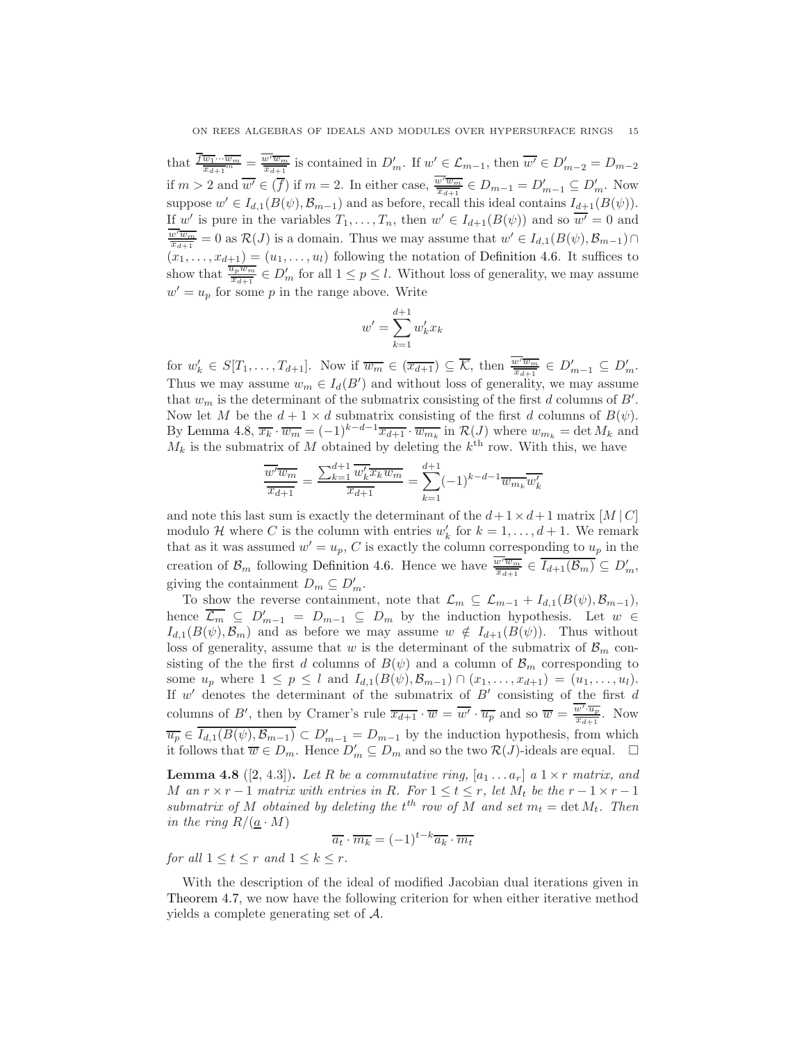that  $\frac{\overline{f}_{\overline{w_1}\cdots\overline{w_m}}}{\overline{x_{d+1}}^m} = \frac{\overline{w'w_m}}{\overline{x_{d+1}}}$  is contained in  $D'_m$ . If  $w' \in \mathcal{L}_{m-1}$ , then  $\overline{w'} \in D'_{m-2} = D_{m-2}$ if  $m > 2$  and  $\overline{w'} \in (\overline{f})$  if  $m = 2$ . In either case,  $\overline{\frac{w'\overline{w_m}}{x_{d+1}}} \in D_{m-1} = D'_{m-1} \subseteq D'_m$ . Now suppose  $w' \in I_{d,1}(B(\psi), \mathcal{B}_{m-1})$  and as before, recall this ideal contains  $I_{d+1}(B(\psi))$ . If w' is pure in the variables  $T_1, \ldots, T_n$ , then  $w' \in I_{d+1}(B(\psi))$  and so  $\overline{w'} = 0$  and  $\frac{\overline{w' \overline{w_m}}}{\overline{x_{d+1}}} = 0$  as  $\mathcal{R}(J)$  is a domain. Thus we may assume that  $w' \in I_{d,1}(B(\psi), \mathcal{B}_{m-1}) \cap$  $(x_1, \ldots, x_{d+1}) = (u_1, \ldots, u_l)$  following the notation of [Definition 4.6.](#page-12-0) It suffices to show that  $\frac{\overline{u_p w_m}}{\overline{x_{d+1}}} \in D'_m$  for all  $1 \leq p \leq l$ . Without loss of generality, we may assume  $w' = u_p$  for some p in the range above. Write

$$
w' = \sum_{k=1}^{d+1} w'_k x_k
$$

for  $w'_k \in S[T_1,\ldots,T_{d+1}]$ . Now if  $\overline{w_m} \in (\overline{x_{d+1}}) \subseteq \overline{\mathcal{K}}$ , then  $\overline{\frac{w'\overline{w_m}}{\overline{x_{d+1}}}} \in D'_{m-1} \subseteq D'_{m}$ . Thus we may assume  $w_m \in I_d(B')$  and without loss of generality, we may assume that  $w_m$  is the determinant of the submatrix consisting of the first d columns of  $B'$ . Now let M be the  $d + 1 \times d$  submatrix consisting of the first d columns of  $B(\psi)$ . By [Lemma 4.8,](#page-14-0)  $\overline{x_k} \cdot \overline{w_m} = (-1)^{k-d-1} \overline{x_{d+1}} \cdot \overline{w_{m_k}}$  in  $\mathcal{R}(J)$  where  $w_{m_k} = \det M_k$  and  $M_k$  is the submatrix of M obtained by deleting the  $k^{\text{th}}$  row. With this, we have

$$
\frac{\overline{w'}\overline{w_m}}{\overline{x_{d+1}}} = \frac{\sum_{k=1}^{d+1} \overline{w'_k} \overline{x_k w_m}}{\overline{x_{d+1}}} = \sum_{k=1}^{d+1} (-1)^{k-d-1} \overline{w_{m_k} w'_k}
$$

and note this last sum is exactly the determinant of the  $d+1\times d+1$  matrix  $[M\,|\,C]$ modulo H where C is the column with entries  $w'_k$  for  $k = 1, \ldots, d + 1$ . We remark that as it was assumed  $w' = u_p$ , C is exactly the column corresponding to  $u_p$  in the creation of  $\mathcal{B}_m$  following [Definition 4.6.](#page-12-0) Hence we have  $\frac{\overline{w'w_m}}{\overline{x_{d+1}}} \in \overline{I_{d+1}(\mathcal{B}_m)} \subseteq D'_m$ , giving the containment  $D_m \subseteq D'_m$ .

To show the reverse containment, note that  $\mathcal{L}_m \subseteq \mathcal{L}_{m-1} + I_{d,1}(B(\psi), \mathcal{B}_{m-1}),$ hence  $\overline{\mathcal{L}_m} \subseteq D'_{m-1} = D_{m-1} \subseteq D_m$  by the induction hypothesis. Let  $w \in$  $I_{d,1}(B(\psi), \mathcal{B}_m)$  and as before we may assume  $w \notin I_{d+1}(B(\psi))$ . Thus without loss of generality, assume that w is the determinant of the submatrix of  $\mathcal{B}_m$  consisting of the the first d columns of  $B(\psi)$  and a column of  $\mathcal{B}_m$  corresponding to some  $u_p$  where  $1 \le p \le l$  and  $I_{d,1}(B(\psi), \mathcal{B}_{m-1}) \cap (x_1, \ldots, x_{d+1}) = (u_1, \ldots, u_l)$ . If  $w'$  denotes the determinant of the submatrix of  $B'$  consisting of the first  $d$ columns of B', then by Cramer's rule  $\overline{x_{d+1}} \cdot \overline{w} = \overline{w'} \cdot \overline{u_p}$  and so  $\overline{w} = \frac{\overline{w'} \cdot \overline{u_p}}{\overline{x_{d+1}}}$  $\frac{w \cdot u_p}{x_{d+1}}$ . Now  $\overline{u_p} \in \overline{I_{d,1}(B(\psi), \mathcal{B}_{m-1})} \subset D'_{m-1} = D_{m-1}$  by the induction hypothesis, from which it follows that  $\overline{w} \in D_m$ . Hence  $D'_m \subseteq D_m$  and so the two  $\mathcal{R}(J)$ -ideals are equal.  $\Box$ 

<span id="page-14-0"></span>**Lemma 4.8** ([\[2,](#page-25-7) 4.3]). Let R be a commutative ring,  $[a_1 \ldots a_r]$  a  $1 \times r$  matrix, and M an  $r \times r - 1$  matrix with entries in R. For  $1 \leq t \leq r$ , let  $M_t$  be the  $r - 1 \times r - 1$ submatrix of M obtained by deleting the  $t^{th}$  row of M and set  $m_t = \det M_t$ . Then in the ring  $R/(\underline{a} \cdot M)$ 

$$
\overline{a_t} \cdot \overline{m_k} = (-1)^{t-k} \overline{a_k} \cdot \overline{m_t}
$$

for all  $1 \leq t \leq r$  and  $1 \leq k \leq r$ .

<span id="page-14-1"></span>With the description of the ideal of modified Jacobian dual iterations given in [Theorem 4.7,](#page-13-0) we now have the following criterion for when either iterative method yields a complete generating set of A.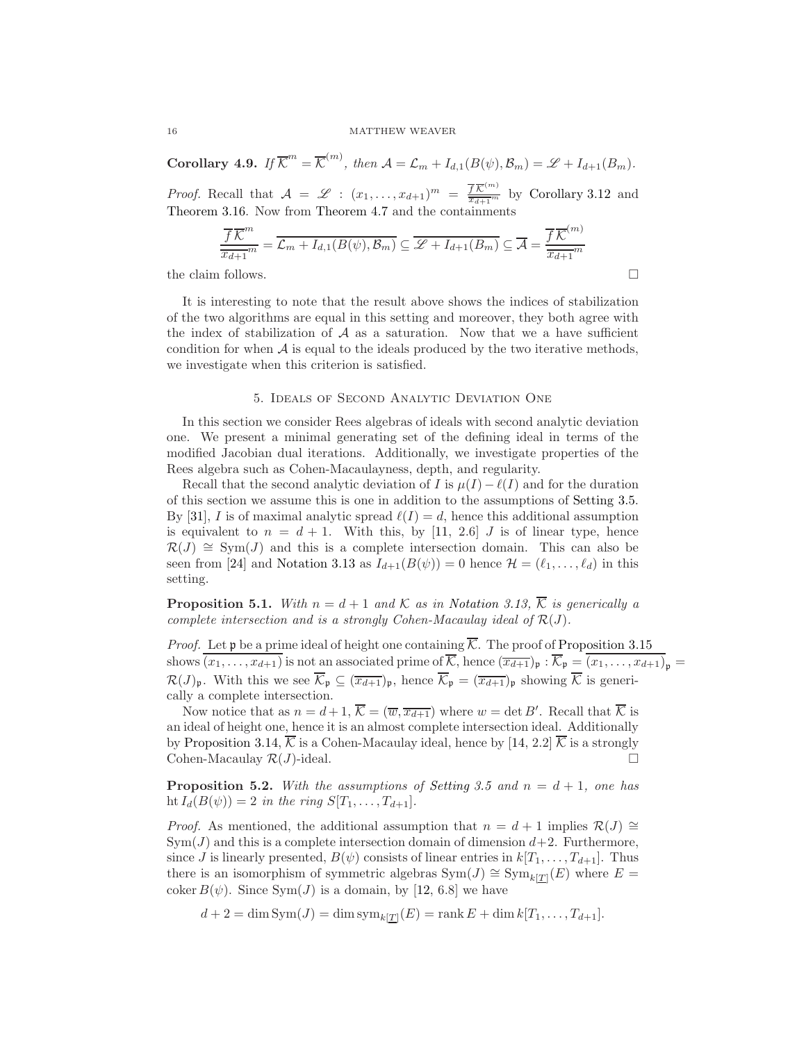**Corollary 4.9.** If  $\overline{\mathcal{K}}^m = \overline{\mathcal{K}}^{(m)}$ , then  $\mathcal{A} = \mathcal{L}_m + I_{d,1}(B(\psi), \mathcal{B}_m) = \mathcal{L} + I_{d+1}(B_m)$ .

*Proof.* Recall that  $A = \mathscr{L} : (x_1, \ldots, x_{d+1})^m = \frac{\overline{fK}^{(m)}}{\overline{x_{d+1}}^m}$  $\frac{f\mathcal{K}}{x_{d+1}^m}$  by [Corollary 3.12](#page-8-2) and [Theorem 3.16.](#page-9-1) Now from [Theorem 4.7](#page-13-0) and the containments

$$
\frac{\overline{f}\,\overline{\mathcal{K}}^m}{\overline{x_{d+1}}^m} = \overline{\mathcal{L}_m + I_{d,1}(B(\psi), \mathcal{B}_m)} \subseteq \overline{\mathcal{L} + I_{d+1}(B_m)} \subseteq \overline{\mathcal{A}} = \frac{\overline{f}\,\overline{\mathcal{K}}^{(m)}}{\overline{x_{d+1}}^m}
$$
\nthe claim follows.

It is interesting to note that the result above shows the indices of stabilization of the two algorithms are equal in this setting and moreover, they both agree with the index of stabilization of  $A$  as a saturation. Now that we a have sufficient condition for when  $A$  is equal to the ideals produced by the two iterative methods, we investigate when this criterion is satisfied.

# 5. Ideals of Second Analytic Deviation One

<span id="page-15-0"></span>In this section we consider Rees algebras of ideals with second analytic deviation one. We present a minimal generating set of the defining ideal in terms of the modified Jacobian dual iterations. Additionally, we investigate properties of the Rees algebra such as Cohen-Macaulayness, depth, and regularity.

Recall that the second analytic deviation of I is  $\mu(I) - \ell(I)$  and for the duration of this section we assume this is one in addition to the assumptions of [Setting 3.5.](#page-6-0) By [\[31\]](#page-26-3), I is of maximal analytic spread  $\ell(I) = d$ , hence this additional assumption is equivalent to  $n = d + 1$ . With this, by [\[11,](#page-25-0) 2.6] J is of linear type, hence  $\mathcal{R}(J) \cong \text{Sym}(J)$  and this is a complete intersection domain. This can also be seen from [\[24\]](#page-26-0) and [Notation 3.13](#page-8-1) as  $I_{d+1}(B(\psi)) = 0$  hence  $\mathcal{H} = (\ell_1, \ldots, \ell_d)$  in this setting.

<span id="page-15-1"></span>**Proposition 5.1.** With  $n = d + 1$  and K as in [Notation 3.13,](#page-8-1)  $\overline{K}$  is generically a complete intersection and is a strongly Cohen-Macaulay ideal of  $R(J)$ .

*Proof.* Let  $\mathfrak p$  be a prime ideal of height one containing  $\overline{\mathcal K}$ . The proof of [Proposition 3.15](#page-9-0) shows  $\overline{(x_1,\ldots,x_{d+1})}$  is not an associated prime of  $\overline{\mathcal{K}}$ , hence  $(\overline{x_{d+1}})_\mathfrak{p}$  :  $\overline{\mathcal{K}}_\mathfrak{p} = \overline{(x_1,\ldots,x_{d+1})}_\mathfrak{p}$  $\mathcal{R}(J)_\mathfrak{p}$ . With this we see  $\overline{\mathcal{K}}_\mathfrak{p} \subseteq (\overline{x_{d+1}})_\mathfrak{p}$ , hence  $\overline{\mathcal{K}}_\mathfrak{p} = (\overline{x_{d+1}})_\mathfrak{p}$  showing  $\overline{\mathcal{K}}$  is generically a complete intersection.

Now notice that as  $n = d + 1$ ,  $\overline{\mathcal{K}} = (\overline{w}, \overline{x_{d+1}})$  where  $w = \det B'$ . Recall that  $\overline{\mathcal{K}}$  is an ideal of height one, hence it is an almost complete intersection ideal. Additionally by [Proposition 3.14,](#page-8-3)  $\overline{\mathcal{K}}$  is a Cohen-Macaulay ideal, hence by [\[14,](#page-25-12) 2.2]  $\overline{\mathcal{K}}$  is a strongly Cohen-Macaulay  $\mathcal{R}(J)$ -ideal.

**Proposition 5.2.** With the assumptions of [Setting 3.5](#page-6-0) and  $n = d + 1$ , one has ht  $I_d(B(\psi)) = 2$  in the ring  $S[T_1, ..., T_{d+1}].$ 

*Proof.* As mentioned, the additional assumption that  $n = d + 1$  implies  $\mathcal{R}(J) \cong$  $Sym(J)$  and this is a complete intersection domain of dimension  $d+2$ . Furthermore, since *J* is linearly presented,  $B(\psi)$  consists of linear entries in  $k[T_1, \ldots, T_{d+1}]$ . Thus there is an isomorphism of symmetric algebras  $\text{Sym}(J) \cong \text{Sym}_{k[\underline{T}]}(E)$  where  $E =$ coker  $B(\psi)$ . Since Sym(*J*) is a domain, by [\[12,](#page-25-13) 6.8] we have

$$
d + 2 = \dim \text{Sym}(J) = \dim \text{sym}_{k[\underline{T}]}(E) = \text{rank } E + \dim k[T_1, \ldots, T_{d+1}].
$$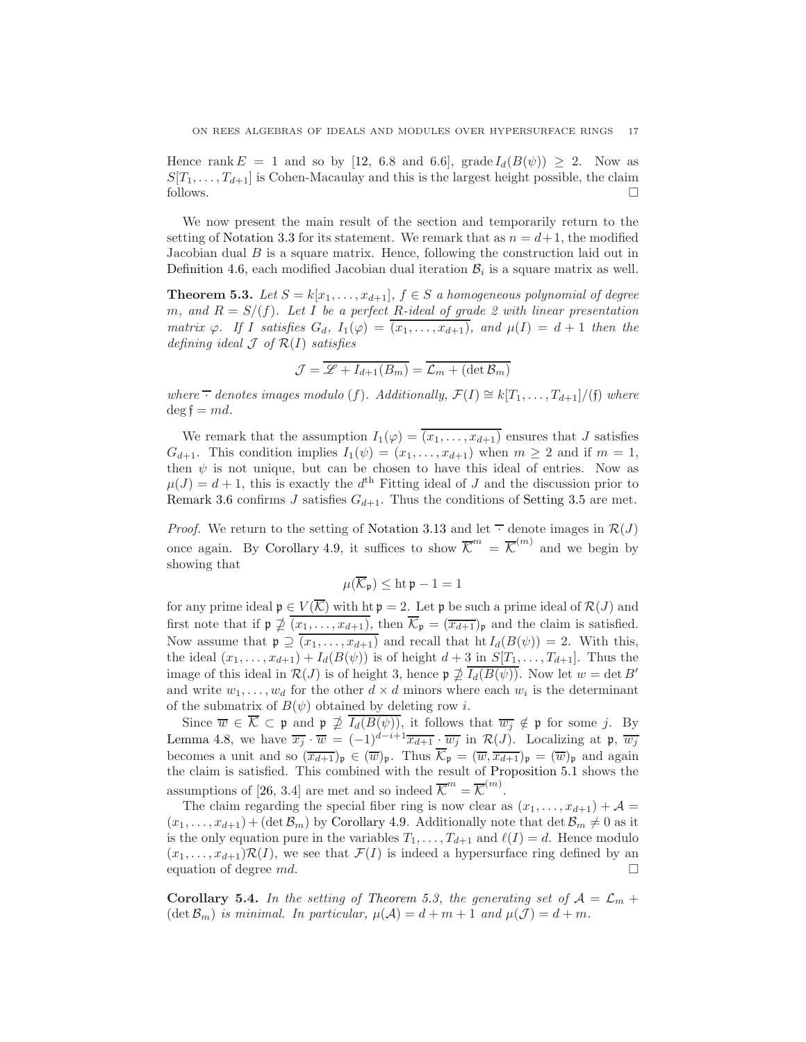Hence rank  $E = 1$  and so by [\[12,](#page-25-13) 6.8 and 6.6], grade  $I_d(B(\psi)) \geq 2$ . Now as  $S[T_1, \ldots, T_{d+1}]$  is Cohen-Macaulay and this is the largest height possible, the claim follows.

We now present the main result of the section and temporarily return to the setting of [Notation 3.3](#page-5-2) for its statement. We remark that as  $n = d+1$ , the modified Jacobian dual  $B$  is a square matrix. Hence, following the construction laid out in [Definition 4.6,](#page-12-0) each modified Jacobian dual iteration  $B_i$  is a square matrix as well.

<span id="page-16-0"></span>**Theorem 5.3.** Let  $S = k[x_1, \ldots, x_{d+1}], f \in S$  a homogeneous polynomial of degree m, and  $R = S/(f)$ . Let I be a perfect R-ideal of grade 2 with linear presentation matrix  $\varphi$ . If I satisfies  $G_d$ ,  $I_1(\varphi) = \overline{(x_1, \ldots, x_{d+1})}$ , and  $\mu(I) = d+1$  then the defining ideal  $\mathcal J$  of  $\mathcal R(I)$  satisfies

$$
\mathcal{J} = \overline{\mathcal{L} + I_{d+1}(B_m)} = \overline{\mathcal{L}_m + (\det \mathcal{B}_m)}
$$

where  $\overline{\cdot}$  denotes images modulo (f). Additionally,  $\mathcal{F}(I) \cong k[T_1, \ldots, T_{d+1}]/(f)$  where  $\deg \mathfrak{f} = md.$ 

We remark that the assumption  $I_1(\varphi) = \overline{(x_1, \ldots, x_{d+1})}$  ensures that J satisfies  $G_{d+1}$ . This condition implies  $I_1(\psi) = (x_1, \ldots, x_{d+1})$  when  $m \geq 2$  and if  $m = 1$ , then  $\psi$  is not unique, but can be chosen to have this ideal of entries. Now as  $\mu(J) = d + 1$ , this is exactly the  $d<sup>th</sup>$  Fitting ideal of J and the discussion prior to [Remark 3.6](#page-6-2) confirms J satisfies  $G_{d+1}$ . Thus the conditions of [Setting 3.5](#page-6-0) are met.

*Proof.* We return to the setting of [Notation 3.13](#page-8-1) and let  $\overline{\cdot}$  denote images in  $\mathcal{R}(J)$ once again. By [Corollary 4.9,](#page-14-1) it suffices to show  $\overline{\mathcal{K}}^m = \overline{\mathcal{K}}^{(m)}$  and we begin by showing that

$$
\mu(\overline{\mathcal{K}}_{\mathfrak{p}}) \leq \operatorname{ht} \mathfrak{p} - 1 = 1
$$

for any prime ideal  $\mathfrak{p} \in V(\overline{\mathcal{K}})$  with  $h \mathfrak{p} = 2$ . Let  $\mathfrak{p}$  be such a prime ideal of  $\mathcal{R}(J)$  and first note that if  $\mathfrak{p} \not\supseteq \overline{(x_1,\ldots,x_{d+1})}$ , then  $\overline{\mathcal{K}}_{\mathfrak{p}} = (\overline{x_{d+1}})_{\mathfrak{p}}$  and the claim is satisfied. Now assume that  $\mathfrak{p} \supseteq (x_1, \ldots, x_{d+1})$  and recall that  $\mathrm{ht}\, I_d(B(\psi)) = 2$ . With this, the ideal  $(x_1, ..., x_{d+1}) + I_d(B(\psi))$  is of height  $d+3$  in  $S[T_1, ..., T_{d+1}]$ . Thus the image of this ideal in  $\mathcal{R}(J)$  is of height 3, hence  $\mathfrak{p} \not\supseteq \overline{I_d(B(\psi))}$ . Now let  $w = \det B'$ and write  $w_1, \ldots, w_d$  for the other  $d \times d$  minors where each  $w_i$  is the determinant of the submatrix of  $B(\psi)$  obtained by deleting row *i*.

Since  $\overline{w} \in \mathcal{K} \subset \mathfrak{p}$  and  $\mathfrak{p} \not\supseteq I_d(B(\psi))$ , it follows that  $\overline{w_j} \notin \mathfrak{p}$  for some j. By [Lemma 4.8,](#page-14-0) we have  $\overline{x_j} \cdot \overline{w} = (-1)^{d-i+1} \overline{x_{d+1}} \cdot \overline{w_j}$  in  $\mathcal{R}(J)$ . Localizing at p,  $\overline{w_j}$ becomes a unit and so  $(\overline{x_{d+1}})_\mathfrak{p} \in (\overline{w})_\mathfrak{p}$ . Thus  $\overline{\mathcal{K}}_\mathfrak{p} = (\overline{w}, \overline{x_{d+1}})_\mathfrak{p} = (\overline{w})_\mathfrak{p}$  and again the claim is satisfied. This combined with the result of [Proposition 5.1](#page-15-1) shows the assumptions of [\[26,](#page-26-11) 3.4] are met and so indeed  $\overline{\mathcal{K}}^m = \overline{\mathcal{K}}^{(m)}$ .

The claim regarding the special fiber ring is now clear as  $(x_1, \ldots, x_{d+1}) + A =$  $(x_1, \ldots, x_{d+1})$  + (det  $\mathcal{B}_m$ ) by [Corollary 4.9.](#page-14-1) Additionally note that det  $\mathcal{B}_m \neq 0$  as it is the only equation pure in the variables  $T_1, \ldots, T_{d+1}$  and  $\ell(I) = d$ . Hence modulo  $(x_1, \ldots, x_{d+1})\mathcal{R}(I)$ , we see that  $\mathcal{F}(I)$  is indeed a hypersurface ring defined by an equation of degree  $md$ .

<span id="page-16-1"></span>**Corollary 5.4.** In the setting of [Theorem 5.3,](#page-16-0) the generating set of  $A = \mathcal{L}_m +$  $(\det \mathcal{B}_m)$  is minimal. In particular,  $\mu(\mathcal{A}) = d + m + 1$  and  $\mu(\mathcal{J}) = d + m$ .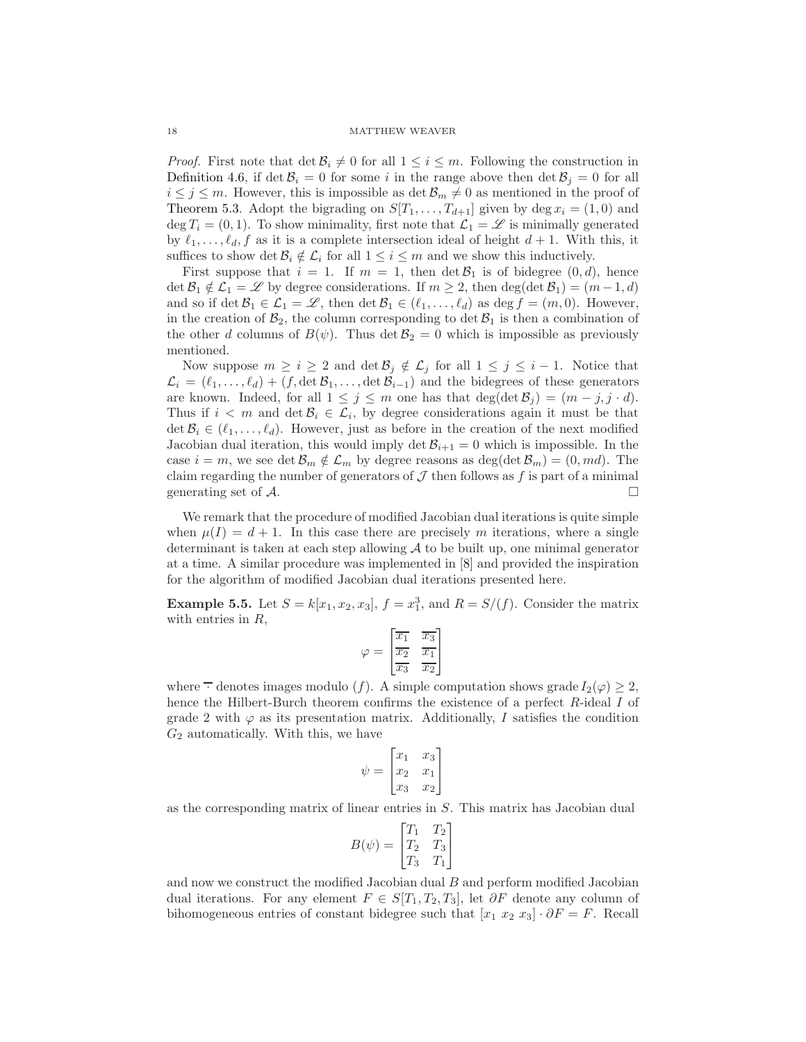*Proof.* First note that  $\det \mathcal{B}_i \neq 0$  for all  $1 \leq i \leq m$ . Following the construction in [Definition 4.6,](#page-12-0) if det  $B_i = 0$  for some i in the range above then det  $B_j = 0$  for all  $i \leq j \leq m$ . However, this is impossible as  $\det \mathcal{B}_m \neq 0$  as mentioned in the proof of [Theorem 5.3.](#page-16-0) Adopt the bigrading on  $S[T_1, \ldots, T_{d+1}]$  given by deg  $x_i = (1, 0)$  and deg  $T_i = (0, 1)$ . To show minimality, first note that  $\mathcal{L}_1 = \mathcal{L}$  is minimally generated by  $\ell_1, \ldots, \ell_d, f$  as it is a complete intersection ideal of height  $d+1$ . With this, it suffices to show det  $\mathcal{B}_i \notin \mathcal{L}_i$  for all  $1 \leq i \leq m$  and we show this inductively.

First suppose that  $i = 1$ . If  $m = 1$ , then  $\det \mathcal{B}_1$  is of bidegree  $(0, d)$ , hence  $\det \mathcal{B}_1 \notin \mathcal{L}_1 = \mathcal{L}$  by degree considerations. If  $m \geq 2$ , then  $\deg(\det \mathcal{B}_1) = (m-1, d)$ and so if det  $\mathcal{B}_1 \in \mathcal{L}_1 = \mathcal{L}$ , then det  $\mathcal{B}_1 \in (\ell_1, \ldots, \ell_d)$  as deg  $f = (m, 0)$ . However, in the creation of  $\mathcal{B}_2$ , the column corresponding to det  $\mathcal{B}_1$  is then a combination of the other d columns of  $B(\psi)$ . Thus det  $\mathcal{B}_2 = 0$  which is impossible as previously mentioned.

Now suppose  $m \geq i \geq 2$  and  $\det \mathcal{B}_j \notin \mathcal{L}_j$  for all  $1 \leq j \leq i-1$ . Notice that  $\mathcal{L}_i = (\ell_1, \ldots, \ell_d) + (f, \det \mathcal{B}_1, \ldots, \det \mathcal{B}_{i-1})$  and the bidegrees of these generators are known. Indeed, for all  $1 \leq j \leq m$  one has that  $\deg(\det \mathcal{B}_j) = (m - j, j \cdot d)$ . Thus if  $i < m$  and  $\det \mathcal{B}_i \in \mathcal{L}_i$ , by degree considerations again it must be that  $\det \mathcal{B}_i \in (\ell_1, \ldots, \ell_d)$ . However, just as before in the creation of the next modified Jacobian dual iteration, this would imply det  $B_{i+1} = 0$  which is impossible. In the case  $i = m$ , we see det  $\mathcal{B}_m \notin \mathcal{L}_m$  by degree reasons as deg(det  $\mathcal{B}_m$ ) =  $(0, md)$ . The claim regarding the number of generators of  $\mathcal J$  then follows as  $f$  is part of a minimal generating set of  $\mathcal{A}$ .

We remark that the procedure of modified Jacobian dual iterations is quite simple when  $\mu(I) = d + 1$ . In this case there are precisely m iterations, where a single determinant is taken at each step allowing  $A$  to be built up, one minimal generator at a time. A similar procedure was implemented in [\[8\]](#page-25-2) and provided the inspiration for the algorithm of modified Jacobian dual iterations presented here.

**Example 5.5.** Let  $S = k[x_1, x_2, x_3]$ ,  $f = x_1^3$ , and  $R = S/(f)$ . Consider the matrix with entries in  $R$ ,

$$
\varphi = \begin{bmatrix} \overline{x_1} & \overline{x_3} \\ \overline{x_2} & \overline{x_1} \\ \overline{x_3} & \overline{x_2} \end{bmatrix}
$$

where  $\overline{\cdot}$  denotes images modulo (f). A simple computation shows grade  $I_2(\varphi) \geq 2$ , hence the Hilbert-Burch theorem confirms the existence of a perfect R-ideal I of grade 2 with  $\varphi$  as its presentation matrix. Additionally, I satisfies the condition  $G_2$  automatically. With this, we have

$$
\psi = \begin{bmatrix} x_1 & x_3 \\ x_2 & x_1 \\ x_3 & x_2 \end{bmatrix}
$$

as the corresponding matrix of linear entries in S. This matrix has Jacobian dual

$$
B(\psi) = \begin{bmatrix} T_1 & T_2 \\ T_2 & T_3 \\ T_3 & T_1 \end{bmatrix}
$$

and now we construct the modified Jacobian dual B and perform modified Jacobian dual iterations. For any element  $F \in S[T_1, T_2, T_3]$ , let  $\partial F$  denote any column of bihomogeneous entries of constant bidegree such that  $[x_1 \ x_2 \ x_3] \cdot \partial F = F$ . Recall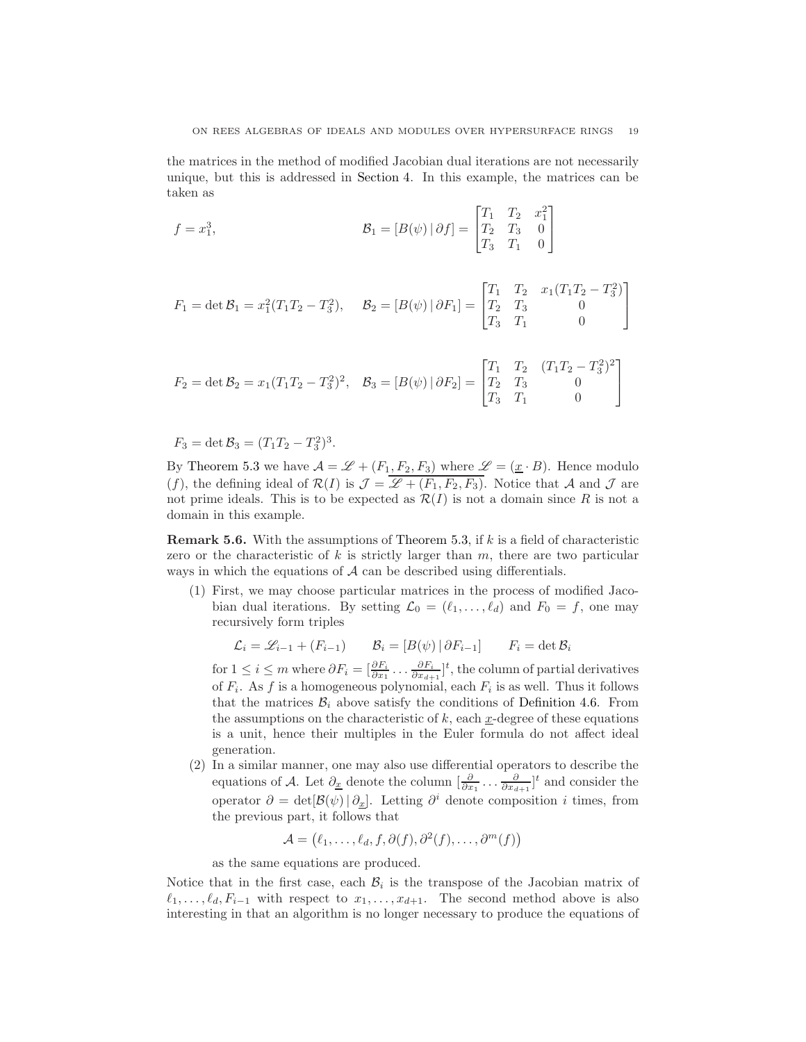the matrices in the method of modified Jacobian dual iterations are not necessarily unique, but this is addressed in [Section 4.](#page-10-0) In this example, the matrices can be taken as

$$
f = x_1^3, \qquad \qquad \mathcal{B}_1 = [B(\psi) \, | \, \partial f] = \begin{bmatrix} T_1 & T_2 & x_1^2 \\ T_2 & T_3 & 0 \\ T_3 & T_1 & 0 \end{bmatrix}
$$

$$
F_1 = \det \mathcal{B}_1 = x_1^2 (T_1 T_2 - T_3^2), \quad \mathcal{B}_2 = [B(\psi) | \partial F_1] = \begin{bmatrix} T_1 & T_2 & x_1 (T_1 T_2 - T_3^2) \\ T_2 & T_3 & 0 \\ T_3 & T_1 & 0 \end{bmatrix}
$$

$$
F_2 = \det \mathcal{B}_2 = x_1 (T_1 T_2 - T_3^2)^2, \quad \mathcal{B}_3 = [B(\psi) | \partial F_2] = \begin{bmatrix} T_1 & T_2 & (T_1 T_2 - T_3^2)^2 \\ T_2 & T_3 & 0 \\ T_3 & T_1 & 0 \end{bmatrix}
$$

$$
F_3 = \det \mathcal{B}_3 = (T_1 T_2 - T_3^2)^3.
$$

By [Theorem 5.3](#page-16-0) we have  $\mathcal{A} = \mathcal{L} + (F_1, F_2, F_3)$  where  $\mathcal{L} = (\underline{x} \cdot B)$ . Hence modulo (f), the defining ideal of  $\mathcal{R}(I)$  is  $\mathcal{J} = \mathcal{L} + (F_1, F_2, F_3)$ . Notice that A and J are not prime ideals. This is to be expected as  $\mathcal{R}(I)$  is not a domain since R is not a domain in this example.

<span id="page-18-0"></span>**Remark 5.6.** With the assumptions of [Theorem 5.3,](#page-16-0) if  $k$  is a field of characteristic zero or the characteristic of  $k$  is strictly larger than  $m$ , there are two particular ways in which the equations of  $A$  can be described using differentials.

(1) First, we may choose particular matrices in the process of modified Jacobian dual iterations. By setting  $\mathcal{L}_0 = (\ell_1, \ldots, \ell_d)$  and  $F_0 = f$ , one may recursively form triples

$$
\mathcal{L}_i = \mathcal{L}_{i-1} + (F_{i-1}) \qquad \mathcal{B}_i = [B(\psi) | \partial F_{i-1}] \qquad F_i = \det \mathcal{B}_i
$$

for  $1 \le i \le m$  where  $\partial F_i = [\frac{\partial F_i}{\partial x_1} \dots \frac{\partial F_i}{\partial x_{d+1}}]^t$ , the column of partial derivatives of  $F_i$ . As f is a homogeneous polynomial, each  $F_i$  is as well. Thus it follows that the matrices  $\mathcal{B}_i$  above satisfy the conditions of [Definition 4.6.](#page-12-0) From the assumptions on the characteristic of  $k$ , each x-degree of these equations is a unit, hence their multiples in the Euler formula do not affect ideal generation.

(2) In a similar manner, one may also use differential operators to describe the equations of A. Let  $\partial_{\underline{x}}$  denote the column  $\left[\frac{\partial}{\partial x_1} \dots \frac{\partial}{\partial x_{d+1}}\right]^t$  and consider the operator  $\partial = det[\mathcal{B}(\psi) | \partial_x]$ . Letting  $\partial^i$  denote composition *i* times, from the previous part, it follows that

$$
\mathcal{A} = (\ell_1, \ldots, \ell_d, f, \partial(f), \partial^2(f), \ldots, \partial^m(f))
$$

as the same equations are produced.

Notice that in the first case, each  $B_i$  is the transpose of the Jacobian matrix of  $\ell_1, \ldots, \ell_d, F_{i-1}$  with respect to  $x_1, \ldots, x_{d+1}$ . The second method above is also interesting in that an algorithm is no longer necessary to produce the equations of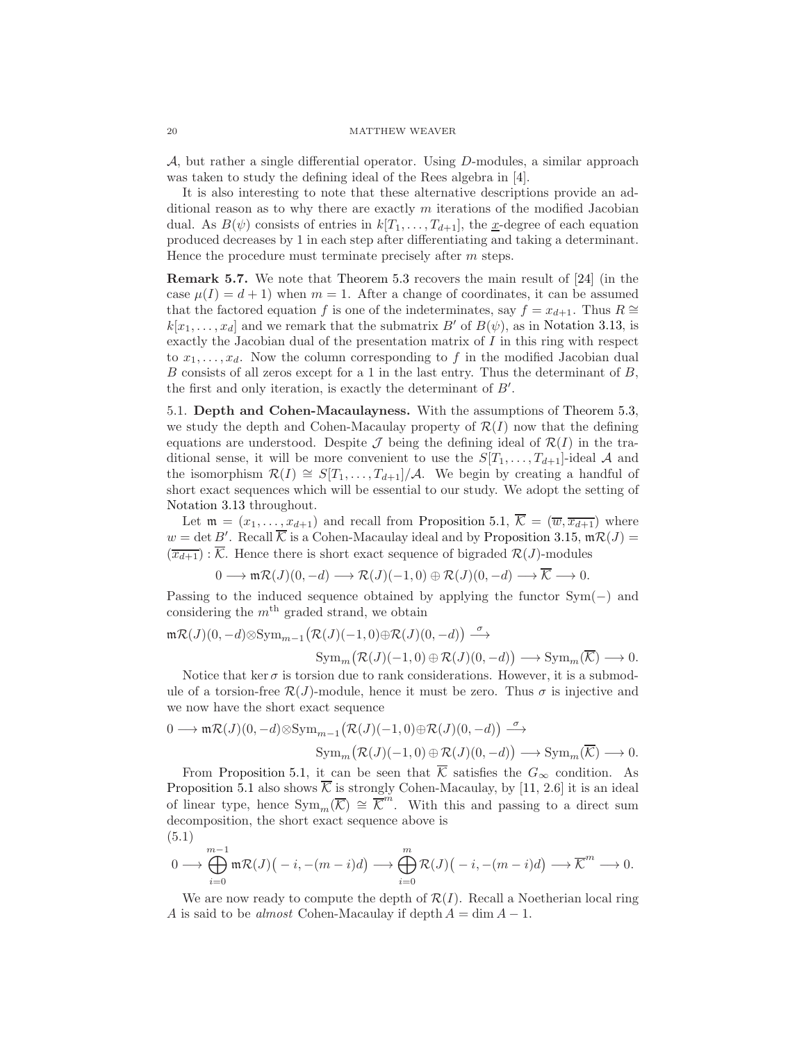A, but rather a single differential operator. Using  $D$ -modules, a similar approach was taken to study the defining ideal of the Rees algebra in [\[4\]](#page-25-14).

It is also interesting to note that these alternative descriptions provide an additional reason as to why there are exactly  $m$  iterations of the modified Jacobian dual. As  $B(\psi)$  consists of entries in  $k[T_1, \ldots, T_{d+1}]$ , the x-degree of each equation produced decreases by 1 in each step after differentiating and taking a determinant. Hence the procedure must terminate precisely after m steps.

<span id="page-19-2"></span>Remark 5.7. We note that [Theorem 5.3](#page-16-0) recovers the main result of [\[24\]](#page-26-0) (in the case  $\mu(I) = d + 1$ ) when  $m = 1$ . After a change of coordinates, it can be assumed that the factored equation f is one of the indeterminates, say  $f = x_{d+1}$ . Thus  $R \cong$  $k[x_1, \ldots, x_d]$  and we remark that the submatrix B' of  $B(\psi)$ , as in [Notation 3.13,](#page-8-1) is exactly the Jacobian dual of the presentation matrix of  $I$  in this ring with respect to  $x_1, \ldots, x_d$ . Now the column corresponding to f in the modified Jacobian dual B consists of all zeros except for a 1 in the last entry. Thus the determinant of B, the first and only iteration, is exactly the determinant of B′ .

5.1. Depth and Cohen-Macaulayness. With the assumptions of [Theorem 5.3,](#page-16-0) we study the depth and Cohen-Macaulay property of  $\mathcal{R}(I)$  now that the defining equations are understood. Despite  $\mathcal J$  being the defining ideal of  $\mathcal R(I)$  in the traditional sense, it will be more convenient to use the  $S[T_1, \ldots, T_{d+1}]$ -ideal A and the isomorphism  $\mathcal{R}(I) \cong S[T_1, \ldots, T_{d+1}]/\mathcal{A}$ . We begin by creating a handful of short exact sequences which will be essential to our study. We adopt the setting of [Notation 3.13](#page-8-1) throughout.

Let  $\mathfrak{m} = (x_1, \ldots, x_{d+1})$  and recall from [Proposition 5.1,](#page-15-1)  $\overline{\mathcal{K}} = (\overline{w}, \overline{x_{d+1}})$  where  $w = \det B'$ . Recall  $\overline{\mathcal{K}}$  is a Cohen-Macaulay ideal and by [Proposition 3.15,](#page-9-0)  $\mathfrak{m} \mathcal{R}(J) =$  $(\overline{x_{d+1}})$ :  $\overline{\mathcal{K}}$ . Hence there is short exact sequence of bigraded  $\mathcal{R}(J)$ -modules

$$
0 \longrightarrow \mathfrak{m} \mathcal{R}(J)(0,-d) \longrightarrow \mathcal{R}(J)(-1,0) \oplus \mathcal{R}(J)(0,-d) \longrightarrow \overline{\mathcal{K}} \longrightarrow 0.
$$

Passing to the induced sequence obtained by applying the functor  $Sym(-)$  and considering the  $m<sup>th</sup>$  graded strand, we obtain

$$
\begin{aligned} {\mathfrak{m}}{\mathcal{R}}(J)(0,-d)\otimes \operatorname{Sym}_{m-1}\bigl({\mathcal{R}}(J)(-1,0)\oplus {\mathcal{R}}(J)(0,-d)\bigr)\stackrel{\sigma}{\longrightarrow} &\\ \operatorname{Sym}_m\bigl({\mathcal{R}}(J)(-1,0)\oplus {\mathcal{R}}(J)(0,-d)\bigr)\longrightarrow \operatorname{Sym}_m(\overline{{\mathcal{K}}})\longrightarrow 0. &\end{aligned}
$$

Notice that ker  $\sigma$  is torsion due to rank considerations. However, it is a submodule of a torsion-free  $\mathcal{R}(J)$ -module, hence it must be zero. Thus  $\sigma$  is injective and we now have the short exact sequence

$$
0 \longrightarrow \mathfrak{m} \mathcal{R}(J)(0,-d) \otimes \text{Sym}_{m-1} \big( \mathcal{R}(J)(-1,0) \oplus \mathcal{R}(J)(0,-d) \big) \stackrel{\sigma}{\longrightarrow}
$$

 $\text{Sym}_m(\mathcal{R}(J)(-1,0) \oplus \mathcal{R}(J)(0,-d)) \longrightarrow \text{Sym}_m(\overline{\mathcal{K}}) \longrightarrow 0.$ 

From [Proposition 5.1,](#page-15-1) it can be seen that  $\overline{\mathcal{K}}$  satisfies the  $G_{\infty}$  condition. As [Proposition 5.1](#page-15-1) also shows  $\overline{\mathcal{K}}$  is strongly Cohen-Macaulay, by [\[11,](#page-25-0) 2.6] it is an ideal of linear type, hence  $\text{Sym}_m(\overline{\mathcal{K}}) \cong \overline{\mathcal{K}}^m$ . With this and passing to a direct sum decomposition, the short exact sequence above is (5.1)

<span id="page-19-1"></span>
$$
0 \longrightarrow \bigoplus_{i=0}^{m-1} \mathfrak{m} \mathcal{R}(J) \big(-i, -(m-i)d\big) \longrightarrow \bigoplus_{i=0}^{m} \mathcal{R}(J) \big(-i, -(m-i)d\big) \longrightarrow \overline{\mathcal{K}}^{m} \longrightarrow 0.
$$

<span id="page-19-0"></span>We are now ready to compute the depth of  $\mathcal{R}(I)$ . Recall a Noetherian local ring A is said to be almost Cohen-Macaulay if depth  $A = \dim A - 1$ .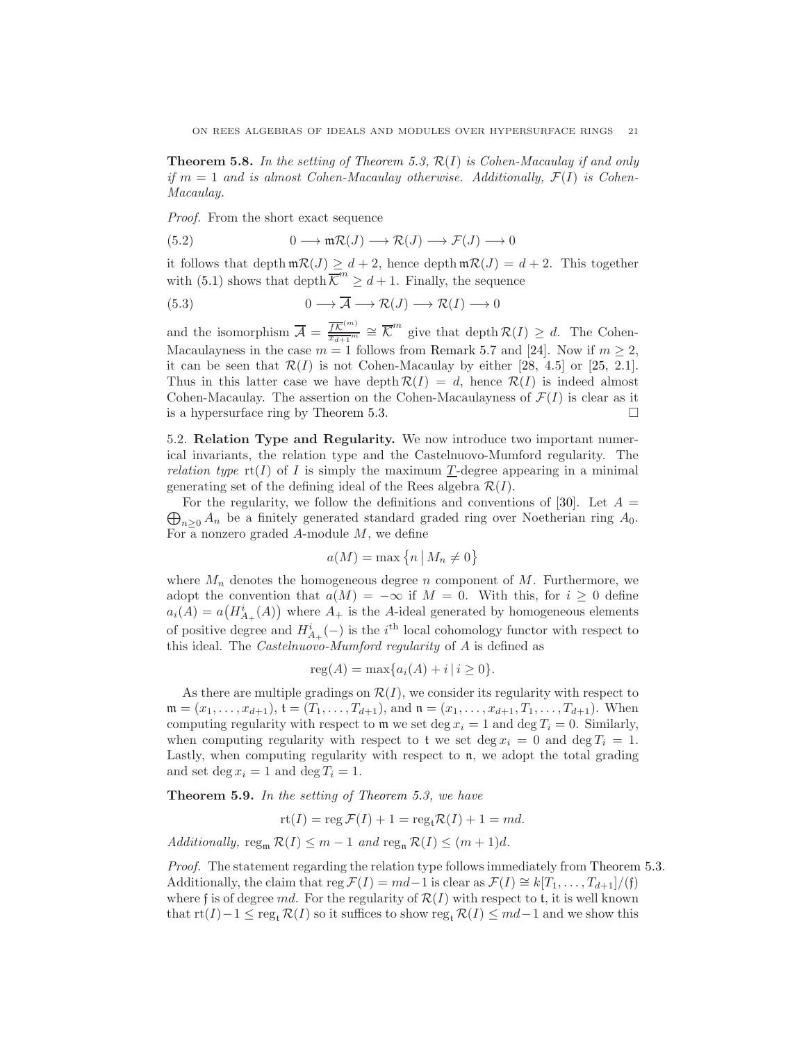**Theorem 5.8.** In the setting of [Theorem 5.3,](#page-16-0)  $\mathcal{R}(I)$  is Cohen-Macaulay if and only if  $m = 1$  and is almost Cohen-Macaulay otherwise. Additionally,  $\mathcal{F}(I)$  is Cohen-Macaulay.

Proof. From the short exact sequence

<span id="page-20-0"></span>(5.2) 
$$
0 \longrightarrow \mathfrak{m} \mathcal{R}(J) \longrightarrow \mathcal{R}(J) \longrightarrow \mathcal{F}(J) \longrightarrow 0
$$

it follows that depth  $m\mathcal{R}(J) \geq d+2$ , hence depth  $m\mathcal{R}(J) = d+2$ . This together with [\(5.1\)](#page-19-1) shows that depth  $\overline{\mathcal{K}}^m \geq d+1$ . Finally, the sequence

<span id="page-20-1"></span>(5.3) 
$$
0 \longrightarrow \overline{A} \longrightarrow \mathcal{R}(J) \longrightarrow \mathcal{R}(I) \longrightarrow 0
$$

and the isomorphism  $\overline{\mathcal{A}} = \frac{\overline{fK}^{(m)}}{\overline{x} + \overline{x}^m}$  $\frac{\overline{fK}^{(m)}}{x_{d+1}^{m}} \cong \overline{K}^{m}$  give that depth  $\mathcal{R}(I) \geq d$ . The Cohen-Macaulayness in the case  $m = 1$  follows from [Remark 5.7](#page-19-2) and [\[24\]](#page-26-0). Now if  $m > 2$ , it can be seen that  $\mathcal{R}(I)$  is not Cohen-Macaulay by either [\[28,](#page-26-12) 4.5] or [\[25,](#page-26-13) 2.1]. Thus in this latter case we have depth  $\mathcal{R}(I) = d$ , hence  $\mathcal{R}(I)$  is indeed almost Cohen-Macaulay. The assertion on the Cohen-Macaulayness of  $\mathcal{F}(I)$  is clear as it is a hypersurface ring by [Theorem 5.3.](#page-16-0)

5.2. Relation Type and Regularity. We now introduce two important numerical invariants, the relation type and the Castelnuovo-Mumford regularity. The *relation type*  $\text{rt}(I)$  of I is simply the maximum T-degree appearing in a minimal generating set of the defining ideal of the Rees algebra  $\mathcal{R}(I)$ .

 $\bigoplus_{n\geq 0} A_n$  be a finitely generated standard graded ring over Noetherian ring  $A_0$ . For the regularity, we follow the definitions and conventions of [\[30\]](#page-26-14). Let  $A =$ For a nonzero graded  $A$ -module  $M$ , we define

$$
a(M) = \max\left\{n \, \big| \, M_n \neq 0\right\}
$$

where  $M_n$  denotes the homogeneous degree n component of M. Furthermore, we adopt the convention that  $a(M) = -\infty$  if  $M = 0$ . With this, for  $i \geq 0$  define  $a_i(A) = a\left(H_{A_+}^i(A)\right)$  where  $A_+$  is the A-ideal generated by homogeneous elements of positive degree and  $H_{A_+}^i(-)$  is the  $i^{\text{th}}$  local cohomology functor with respect to this ideal. The Castelnuovo-Mumford regularity of A is defined as

$$
reg(A) = max{ai(A) + i | i \ge 0}.
$$

As there are multiple gradings on  $\mathcal{R}(I)$ , we consider its regularity with respect to  $\mathfrak{m} = (x_1, \ldots, x_{d+1}), \mathfrak{t} = (T_1, \ldots, T_{d+1}),$  and  $\mathfrak{n} = (x_1, \ldots, x_{d+1}, T_1, \ldots, T_{d+1}).$  When computing regularity with respect to  $\mathfrak{m}$  we set deg  $x_i = 1$  and deg  $T_i = 0$ . Similarly, when computing regularity with respect to t we set deg  $x_i = 0$  and deg  $T_i = 1$ . Lastly, when computing regularity with respect to  $n$ , we adopt the total grading and set deg  $x_i = 1$  and deg  $T_i = 1$ .

<span id="page-20-2"></span>Theorem 5.9. In the setting of [Theorem 5.3,](#page-16-0) we have

$$
rt(I) = \operatorname{reg} \mathcal{F}(I) + 1 = \operatorname{reg}_t \mathcal{R}(I) + 1 = md.
$$

Additionally, reg<sub>m</sub>  $\mathcal{R}(I) \leq m-1$  and reg<sub>n</sub>  $\mathcal{R}(I) \leq (m+1)d$ .

Proof. The statement regarding the relation type follows immediately from [Theorem 5.3.](#page-16-0) Additionally, the claim that reg  $\mathcal{F}(I) = md-1$  is clear as  $\mathcal{F}(I) \cong k[T_1, \ldots, T_{d+1}]/(f)$ where f is of degree md. For the regularity of  $\mathcal{R}(I)$  with respect to t, it is well known that  $\text{rt}(I)-1 \leq \text{reg}_{t} \mathcal{R}(I)$  so it suffices to show  $\text{reg}_{t} \mathcal{R}(I) \leq md-1$  and we show this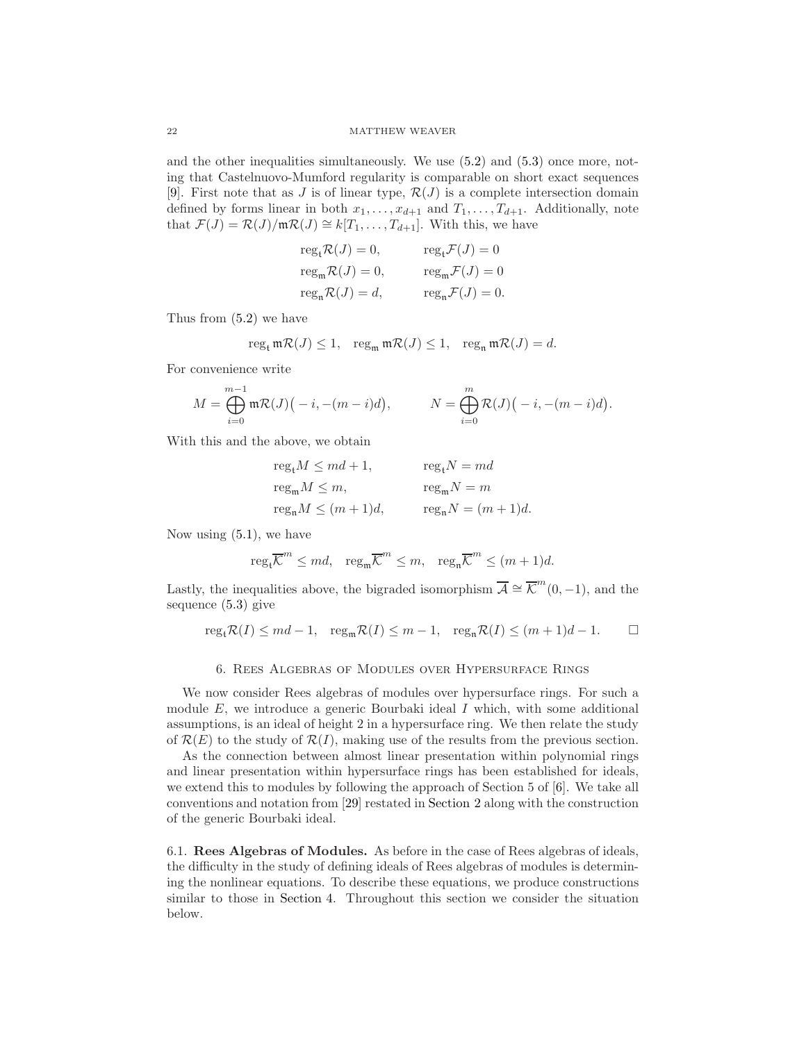and the other inequalities simultaneously. We use [\(5.2\)](#page-20-0) and [\(5.3\)](#page-20-1) once more, noting that Castelnuovo-Mumford regularity is comparable on short exact sequences [\[9\]](#page-25-15). First note that as J is of linear type,  $\mathcal{R}(J)$  is a complete intersection domain defined by forms linear in both  $x_1, \ldots, x_{d+1}$  and  $T_1, \ldots, T_{d+1}$ . Additionally, note that  $\mathcal{F}(J) = \mathcal{R}(J)/\mathfrak{m}\mathcal{R}(J) \cong k[T_1,\ldots,T_{d+1}]$ . With this, we have

$$
regtR(J) = 0, \t regtF(J) = 0
$$
  
\n
$$
regmR(J) = 0, \t regmF(J) = 0
$$
  
\n
$$
regnR(J) = d, \t regnF(J) = 0.
$$

Thus from [\(5.2\)](#page-20-0) we have

$$
reg_{\mathfrak{t}} \mathfrak{m} \mathcal{R}(J) \le 1, \quad reg_{\mathfrak{m}} \mathfrak{m} \mathcal{R}(J) \le 1, \quad reg_{\mathfrak{n}} \mathfrak{m} \mathcal{R}(J) = d.
$$

For convenience write

$$
M = \bigoplus_{i=0}^{m-1} \mathfrak{m} \mathcal{R}(J) \big(-i, -(m-i)d\big), \qquad N = \bigoplus_{i=0}^{m} \mathcal{R}(J) \big(-i, -(m-i)d\big).
$$

With this and the above, we obtain

$$
\begin{aligned} &\operatorname{reg}_{\mathfrak t} M\leq md+1, &\operatorname{reg}_{\mathfrak t} N=md\\ &\operatorname{reg}_{\mathfrak m} M\leq m, &\operatorname{reg}_{\mathfrak m} N=m\\ &\operatorname{reg}_{\mathfrak n} M\leq (m+1)d, &\operatorname{reg}_{\mathfrak n} N=(m+1)d. \end{aligned}
$$

Now using  $(5.1)$ , we have

$$
reg_t\overline{\mathcal{K}}^m \leq md
$$
,  $reg_m\overline{\mathcal{K}}^m \leq m$ ,  $reg_n\overline{\mathcal{K}}^m \leq (m+1)d$ .

Lastly, the inequalities above, the bigraded isomorphism  $\overline{\mathcal{A}} \cong \overline{\mathcal{K}}^m(0,-1)$ , and the sequence [\(5.3\)](#page-20-1) give

$$
\operatorname{reg}_{\mathfrak t} \mathcal R(I) \leq md-1, \quad \operatorname{reg}_{\mathfrak m} \mathcal R(I) \leq m-1, \quad \operatorname{reg}_{\mathfrak n} \mathcal R(I) \leq (m+1)d-1. \qquad \Box
$$

#### 6. Rees Algebras of Modules over Hypersurface Rings

<span id="page-21-0"></span>We now consider Rees algebras of modules over hypersurface rings. For such a module  $E$ , we introduce a generic Bourbaki ideal I which, with some additional assumptions, is an ideal of height 2 in a hypersurface ring. We then relate the study of  $\mathcal{R}(E)$  to the study of  $\mathcal{R}(I)$ , making use of the results from the previous section.

As the connection between almost linear presentation within polynomial rings and linear presentation within hypersurface rings has been established for ideals, we extend this to modules by following the approach of Section 5 of [\[6\]](#page-25-4). We take all conventions and notation from [\[29\]](#page-26-7) restated in [Section 2](#page-3-0) along with the construction of the generic Bourbaki ideal.

<span id="page-21-1"></span>6.1. Rees Algebras of Modules. As before in the case of Rees algebras of ideals, the difficulty in the study of defining ideals of Rees algebras of modules is determining the nonlinear equations. To describe these equations, we produce constructions similar to those in [Section 4.](#page-10-0) Throughout this section we consider the situation below.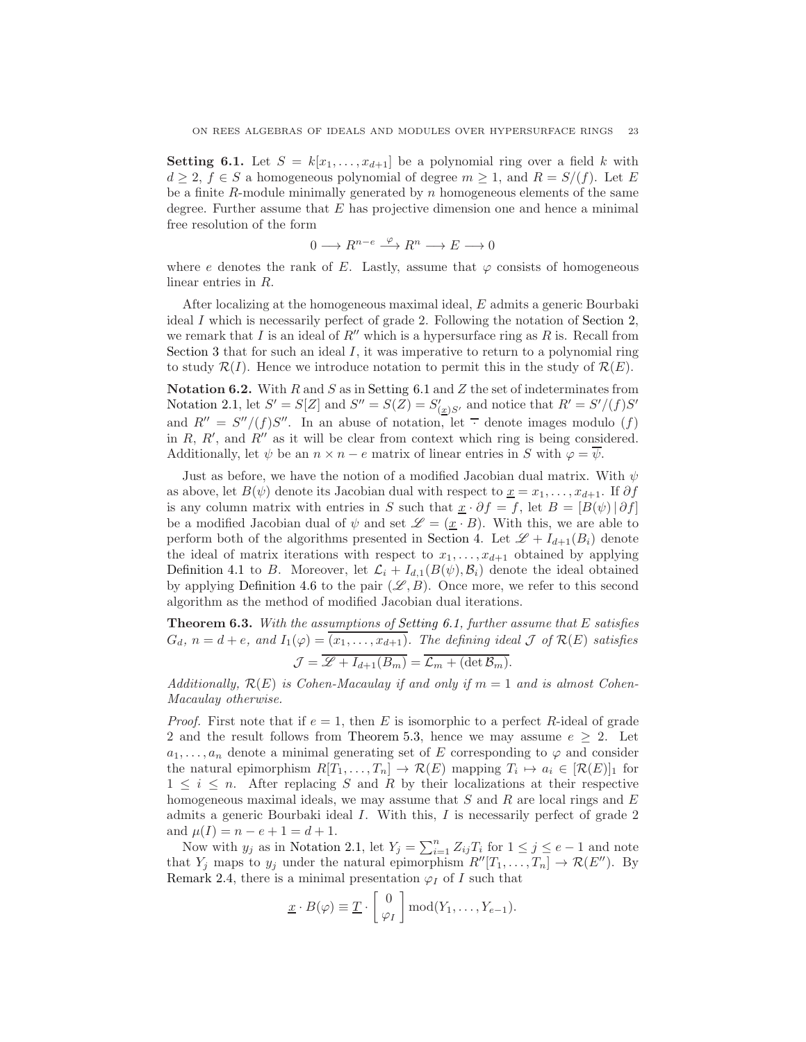**Setting 6.1.** Let  $S = k[x_1, \ldots, x_{d+1}]$  be a polynomial ring over a field k with  $d \geq 2$ ,  $f \in S$  a homogeneous polynomial of degree  $m \geq 1$ , and  $R = S/(f)$ . Let E be a finite  $R$ -module minimally generated by  $n$  homogeneous elements of the same degree. Further assume that  $E$  has projective dimension one and hence a minimal free resolution of the form

$$
0\longrightarrow R^{n-e}\stackrel{\varphi}{\longrightarrow} R^n\longrightarrow E\longrightarrow 0
$$

where e denotes the rank of E. Lastly, assume that  $\varphi$  consists of homogeneous linear entries in R.

After localizing at the homogeneous maximal ideal, E admits a generic Bourbaki ideal I which is necessarily perfect of grade 2. Following the notation of [Section 2,](#page-3-0) we remark that I is an ideal of  $R''$  which is a hypersurface ring as R is. Recall from [Section 3](#page-5-0) that for such an ideal  $I$ , it was imperative to return to a polynomial ring to study  $\mathcal{R}(I)$ . Hence we introduce notation to permit this in the study of  $\mathcal{R}(E)$ .

Notation 6.2. With  $R$  and  $S$  as in [Setting 6.1](#page-21-1) and  $Z$  the set of indeterminates from [Notation 2.1,](#page-4-0) let  $S' = S[Z]$  and  $S'' = S(Z) = S'_{(\underline{x})S'}$  and notice that  $R' = S'/(f)S'$ and  $R'' = S''/(f)S''$ . In an abuse of notation, let  $\overline{\cdot}$  denote images modulo (f) in  $R$ ,  $R'$ , and  $R''$  as it will be clear from context which ring is being considered. Additionally, let  $\psi$  be an  $n \times n - e$  matrix of linear entries in S with  $\varphi = \overline{\psi}$ .

Just as before, we have the notion of a modified Jacobian dual matrix. With  $\psi$ as above, let  $B(\psi)$  denote its Jacobian dual with respect to  $x = x_1, \ldots, x_{d+1}$ . If  $\partial f$ is any column matrix with entries in S such that  $\underline{x} \cdot \partial f = f$ , let  $B = [B(\psi) | \partial f]$ be a modified Jacobian dual of  $\psi$  and set  $\mathscr{L} = (\underline{x} \cdot B)$ . With this, we are able to perform both of the algorithms presented in [Section 4.](#page-10-0) Let  $\mathscr{L} + I_{d+1}(B_i)$  denote the ideal of matrix iterations with respect to  $x_1, \ldots, x_{d+1}$  obtained by applying [Definition 4.1](#page-11-1) to B. Moreover, let  $\mathcal{L}_i + I_{d,1}(B(\psi), \mathcal{B}_i)$  denote the ideal obtained by applying [Definition 4.6](#page-12-0) to the pair  $(\mathscr{L}, B)$ . Once more, we refer to this second algorithm as the method of modified Jacobian dual iterations.

<span id="page-22-0"></span>**Theorem 6.3.** With the assumptions of [Setting 6.1,](#page-21-1) further assume that  $E$  satisfies  $G_d$ ,  $n = d + e$ , and  $I_1(\varphi) = (x_1, \ldots, x_{d+1})$ . The defining ideal  $\mathcal J$  of  $\mathcal R(E)$  satisfies  $\mathcal{J} = \overline{\mathcal{L} + I_{d+1}(B_m)} = \overline{\mathcal{L}_m + (\det \mathcal{B}_m)}.$ 

Additionally,  $\mathcal{R}(E)$  is Cohen-Macaulay if and only if  $m = 1$  and is almost Cohen-Macaulay otherwise.

*Proof.* First note that if  $e = 1$ , then E is isomorphic to a perfect R-ideal of grade 2 and the result follows from [Theorem 5.3,](#page-16-0) hence we may assume  $e \geq 2$ . Let  $a_1, \ldots, a_n$  denote a minimal generating set of E corresponding to  $\varphi$  and consider the natural epimorphism  $R[T_1, \ldots, T_n] \to \mathcal{R}(E)$  mapping  $T_i \mapsto a_i \in [\mathcal{R}(E)]_1$  for  $1 \leq i \leq n$ . After replacing S and R by their localizations at their respective homogeneous maximal ideals, we may assume that  $S$  and  $R$  are local rings and  $E$ admits a generic Bourbaki ideal I. With this, I is necessarily perfect of grade 2 and  $\mu(I) = n - e + 1 = d + 1$ .

Now with  $y_j$  as in [Notation 2.1,](#page-4-0) let  $Y_j = \sum_{i=1}^n Z_{ij}T_i$  for  $1 \le j \le e-1$  and note that  $Y_j$  maps to  $y_j$  under the natural epimorphism  $R''[T_1, \ldots, T_n] \to \mathcal{R}(E'')$ . By [Remark 2.4,](#page-4-2) there is a minimal presentation  $\varphi_I$  of I such that

$$
\underline{x} \cdot B(\varphi) \equiv \underline{T} \cdot \begin{bmatrix} 0 \\ \varphi_I \end{bmatrix} \bmod(Y_1, \ldots, Y_{e-1}).
$$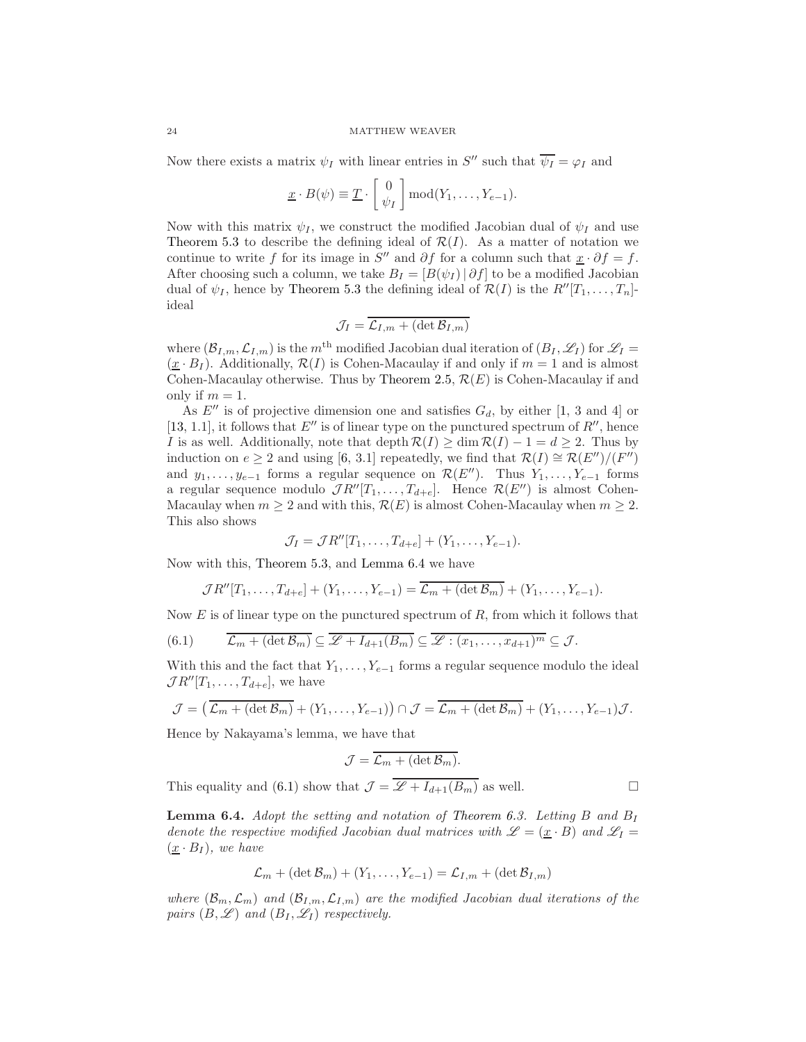Now there exists a matrix  $\psi_I$  with linear entries in S'' such that  $\overline{\psi_I} = \varphi_I$  and

$$
\underline{x} \cdot B(\psi) \equiv \underline{T} \cdot \begin{bmatrix} 0 \\ \psi_I \end{bmatrix} \text{mod}(Y_1, \dots, Y_{e-1}).
$$

Now with this matrix  $\psi_I$ , we construct the modified Jacobian dual of  $\psi_I$  and use [Theorem 5.3](#page-16-0) to describe the defining ideal of  $\mathcal{R}(I)$ . As a matter of notation we continue to write f for its image in S'' and  $\partial f$  for a column such that  $\underline{x} \cdot \partial f = f$ . After choosing such a column, we take  $B_I = [B(\psi_I) | \partial f]$  to be a modified Jacobian dual of  $\psi_I$ , hence by [Theorem 5.3](#page-16-0) the defining ideal of  $\mathcal{R}(I)$  is the  $R''[T_1, \ldots, T_n]$ ideal

$$
\mathcal{J}_I = \overline{\mathcal{L}_{I,m} + (\det \mathcal{B}_{I,m})}
$$

where  $(\mathcal{B}_{I,m}, \mathcal{L}_{I,m})$  is the m<sup>th</sup> modified Jacobian dual iteration of  $(B_I, \mathcal{L}_I)$  for  $\mathcal{L}_I$  $(x \cdot B_I)$ . Additionally,  $\mathcal{R}(I)$  is Cohen-Macaulay if and only if  $m = 1$  and is almost Cohen-Macaulay otherwise. Thus by [Theorem 2.5,](#page-5-3)  $\mathcal{R}(E)$  is Cohen-Macaulay if and only if  $m = 1$ .

As  $E''$  is of projective dimension one and satisfies  $G_d$ , by either [\[1,](#page-25-16) 3 and 4] or [\[13,](#page-25-17) 1.1], it follows that  $E''$  is of linear type on the punctured spectrum of  $R''$ , hence I is as well. Additionally, note that depth  $\mathcal{R}(I) \ge \dim \mathcal{R}(I) - 1 = d \ge 2$ . Thus by induction on  $e \geq 2$  and using [\[6,](#page-25-4) 3.1] repeatedly, we find that  $\mathcal{R}(I) \cong \mathcal{R}(E'')/(F'')$ and  $y_1, \ldots, y_{e-1}$  forms a regular sequence on  $\mathcal{R}(E'')$ . Thus  $Y_1, \ldots, Y_{e-1}$  forms a regular sequence modulo  $\mathcal{J}R''[T_1,\ldots,T_{d+e}]$ . Hence  $\mathcal{R}(E'')$  is almost Cohen-Macaulay when  $m \geq 2$  and with this,  $\mathcal{R}(E)$  is almost Cohen-Macaulay when  $m \geq 2$ . This also shows

$$
\mathcal{J}_I = \mathcal{J}R''[T_1,\ldots,T_{d+e}] + (Y_1,\ldots,Y_{e-1}).
$$

Now with this, [Theorem 5.3,](#page-16-0) and [Lemma 6.4](#page-23-0) we have

<span id="page-23-1"></span>
$$
\mathcal{J}R''[T_1,\ldots,T_{d+e}]+(Y_1,\ldots,Y_{e-1})=\overline{\mathcal{L}_m+(\det\mathcal{B}_m)}+(Y_1,\ldots,Y_{e-1}).
$$

Now  $E$  is of linear type on the punctured spectrum of  $R$ , from which it follows that

(6.1) 
$$
\overline{\mathcal{L}_m + (\det \mathcal{B}_m)} \subseteq \overline{\mathcal{L} + I_{d+1}(B_m)} \subseteq \overline{\mathcal{L} : (x_1, \ldots, x_{d+1})^m} \subseteq \mathcal{J}.
$$

With this and the fact that  $Y_1, \ldots, Y_{e-1}$  forms a regular sequence modulo the ideal  $\mathcal{J}R''[T_1,\ldots,T_{d+e}],$  we have

$$
\mathcal{J} = (\overline{\mathcal{L}_m + (\det \mathcal{B}_m)} + (Y_1, \ldots, Y_{e-1})) \cap \mathcal{J} = \overline{\mathcal{L}_m + (\det \mathcal{B}_m)} + (Y_1, \ldots, Y_{e-1})\mathcal{J}.
$$

Hence by Nakayama's lemma, we have that

$$
\mathcal{J} = \overline{\mathcal{L}_m + (\det \mathcal{B}_m)}.
$$

This equality and [\(6.1\)](#page-23-1) show that  $\mathcal{J} = \overline{\mathscr{L} + I_{d+1}(B_m)}$  as well.

<span id="page-23-0"></span>**Lemma 6.4.** Adopt the setting and notation of [Theorem 6.3.](#page-22-0) Letting B and  $B_I$ denote the respective modified Jacobian dual matrices with  $\mathscr{L} = (\underline{x} \cdot B)$  and  $\mathscr{L}_I =$  $(\underline{x} \cdot B_I)$ , we have

$$
\mathcal{L}_m + (\det \mathcal{B}_m) + (Y_1, \dots, Y_{e-1}) = \mathcal{L}_{I,m} + (\det \mathcal{B}_{I,m})
$$

where  $(\mathcal{B}_m, \mathcal{L}_m)$  and  $(\mathcal{B}_{I,m}, \mathcal{L}_{I,m})$  are the modified Jacobian dual iterations of the pairs  $(B, \mathscr{L})$  and  $(B_I, \mathscr{L}_I)$  respectively.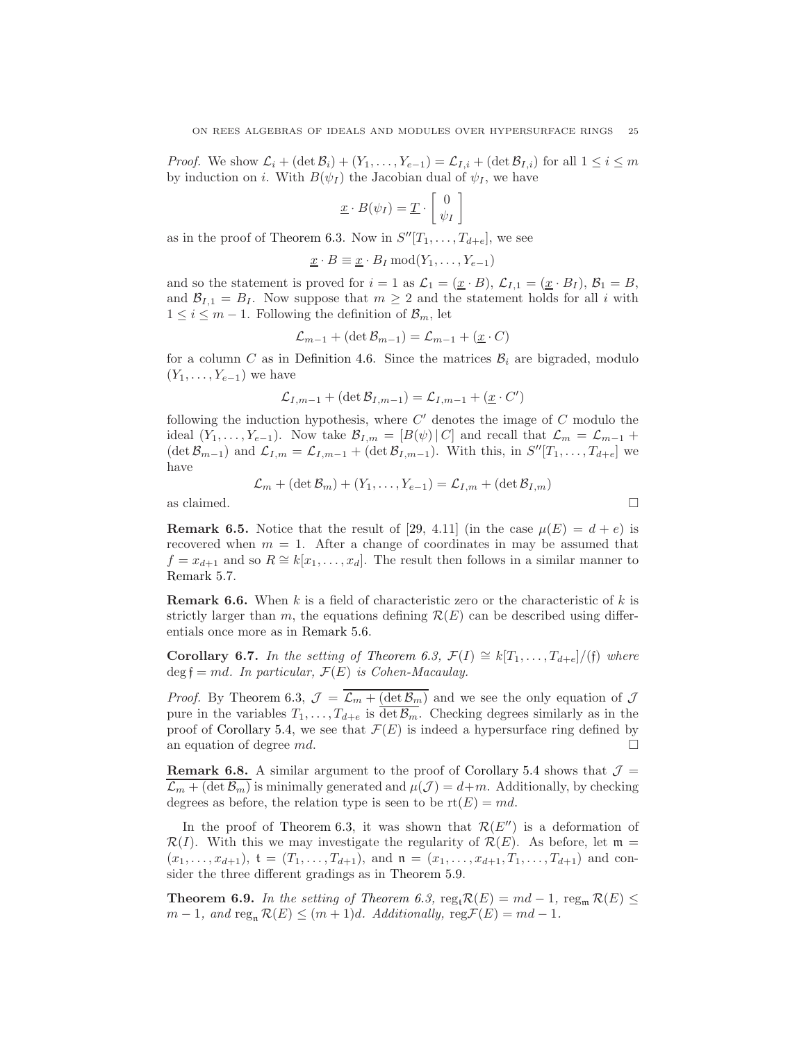*Proof.* We show  $\mathcal{L}_i$  +  $(\det \mathcal{B}_i)$  +  $(Y_1, \ldots, Y_{e-1}) = \mathcal{L}_{I,i}$  +  $(\det \mathcal{B}_{I,i})$  for all  $1 \leq i \leq m$ by induction on i. With  $B(\psi_I)$  the Jacobian dual of  $\psi_I$ , we have

$$
\underline{x} \cdot B(\psi_I) = \underline{T} \cdot \begin{bmatrix} 0 \\ \psi_I \end{bmatrix}
$$

as in the proof of [Theorem 6.3.](#page-22-0) Now in  $S''[T_1, \ldots, T_{d+e}]$ , we see

$$
\underline{x} \cdot B \equiv \underline{x} \cdot B_I \bmod(Y_1, \ldots, Y_{e-1})
$$

and so the statement is proved for  $i = 1$  as  $\mathcal{L}_1 = (\underline{x} \cdot B)$ ,  $\mathcal{L}_{I,1} = (\underline{x} \cdot B_I)$ ,  $\mathcal{B}_1 = B$ , and  $\mathcal{B}_{I,1} = B_I$ . Now suppose that  $m \geq 2$  and the statement holds for all i with  $1 \leq i \leq m-1$ . Following the definition of  $\mathcal{B}_m$ , let

$$
\mathcal{L}_{m-1} + (\det \mathcal{B}_{m-1}) = \mathcal{L}_{m-1} + (\underline{x} \cdot C)
$$

for a column C as in [Definition 4.6.](#page-12-0) Since the matrices  $\mathcal{B}_i$  are bigraded, modulo  $(Y_1, \ldots, Y_{e-1})$  we have

$$
\mathcal{L}_{I,m-1} + (\det \mathcal{B}_{I,m-1}) = \mathcal{L}_{I,m-1} + (\underline{x} \cdot C')
$$

following the induction hypothesis, where  $C'$  denotes the image of  $C$  modulo the ideal  $(Y_1, \ldots, Y_{e-1})$ . Now take  $\mathcal{B}_{I,m} = [B(\psi) | C]$  and recall that  $\mathcal{L}_m = \mathcal{L}_{m-1}$  +  $(\det \mathcal{B}_{m-1})$  and  $\mathcal{L}_{I,m} = \mathcal{L}_{I,m-1} + (\det \mathcal{B}_{I,m-1})$ . With this, in  $S''[T_1, \ldots, T_{d+e}]$  we have

$$
\mathcal{L}_m + (\det \mathcal{B}_m) + (Y_1, \dots, Y_{e-1}) = \mathcal{L}_{I,m} + (\det \mathcal{B}_{I,m})
$$

as claimed.  $\Box$ 

**Remark 6.5.** Notice that the result of [\[29,](#page-26-7) 4.11] (in the case  $\mu(E) = d + e$ ) is recovered when  $m = 1$ . After a change of coordinates in may be assumed that  $f = x_{d+1}$  and so  $R \cong k[x_1, \ldots, x_d]$ . The result then follows in a similar manner to [Remark 5.7.](#page-19-2)

**Remark 6.6.** When k is a field of characteristic zero or the characteristic of k is strictly larger than m, the equations defining  $\mathcal{R}(E)$  can be described using differentials once more as in [Remark 5.6.](#page-18-0)

Corollary 6.7. In the setting of [Theorem 6.3,](#page-22-0)  $\mathcal{F}(I) \cong k[T_1, \ldots, T_{d+e}]/(f)$  where  $\deg \mathfrak{f} = md$ . In particular,  $\mathcal{F}(E)$  is Cohen-Macaulay.

*Proof.* By [Theorem 6.3,](#page-22-0)  $\mathcal{J} = \overline{\mathcal{L}_m + (\det \mathcal{B}_m)}$  and we see the only equation of  $\mathcal{J}$ pure in the variables  $T_1, \ldots, T_{d+e}$  is  $\overline{\det \mathcal{B}_m}$ . Checking degrees similarly as in the proof of [Corollary 5.4,](#page-16-1) we see that  $\mathcal{F}(E)$  is indeed a hypersurface ring defined by an equation of degree  $md$ .

**Remark 6.8.** A similar argument to the proof of [Corollary 5.4](#page-16-1) shows that  $\mathcal{J} =$  $\overline{\mathcal{L}_m + (\det \mathcal{B}_m)}$  is minimally generated and  $\mu(\mathcal{J}) = d+m$ . Additionally, by checking degrees as before, the relation type is seen to be  $\text{rt}(E) = md$ .

In the proof of [Theorem 6.3,](#page-22-0) it was shown that  $\mathcal{R}(E'')$  is a deformation of  $\mathcal{R}(I)$ . With this we may investigate the regularity of  $\mathcal{R}(E)$ . As before, let  $\mathfrak{m} =$  $(x_1, \ldots, x_{d+1}),$   $\mathfrak{t} = (T_1, \ldots, T_{d+1}),$  and  $\mathfrak{n} = (x_1, \ldots, x_{d+1}, T_1, \ldots, T_{d+1})$  and consider the three different gradings as in [Theorem 5.9.](#page-20-2)

**Theorem 6.9.** In the setting of [Theorem 6.3,](#page-22-0)  $reg_t \mathcal{R}(E) = md - 1$ ,  $reg_m \mathcal{R}(E) \le$  $m-1$ , and  $\operatorname{reg}_{\mathfrak{n}} \mathcal{R}(E) \leq (m+1)d$ . Additionally,  $\operatorname{reg}\mathcal{F}(E) = md-1$ .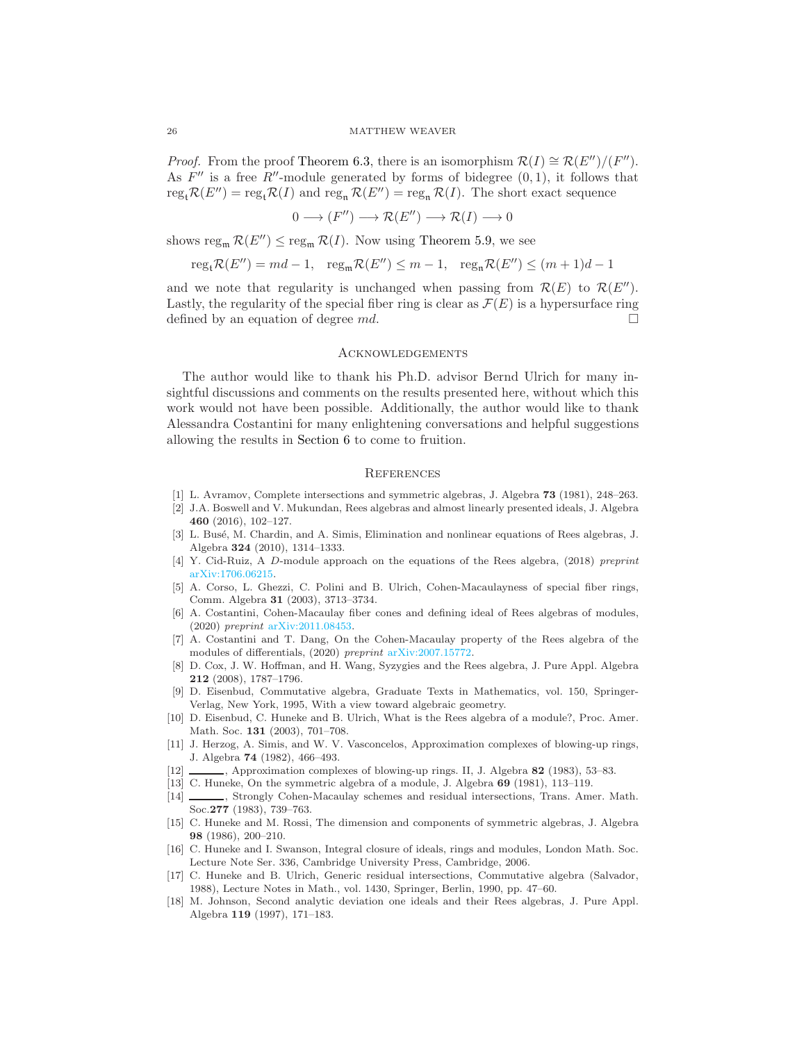*Proof.* From the proof [Theorem 6.3,](#page-22-0) there is an isomorphism  $\mathcal{R}(I) \cong \mathcal{R}(E'')/(F'')$ . As  $F''$  is a free  $R''$ -module generated by forms of bidegree  $(0, 1)$ , it follows that  $\operatorname{reg}_t \mathcal{R}(E'') = \operatorname{reg}_t \mathcal{R}(I)$  and  $\operatorname{reg}_n \mathcal{R}(E'') = \operatorname{reg}_n \mathcal{R}(I)$ . The short exact sequence

$$
0 \longrightarrow (F'') \longrightarrow \mathcal{R}(E'') \longrightarrow \mathcal{R}(I) \longrightarrow 0
$$

shows reg<sub>m</sub>  $\mathcal{R}(E'') \leq \text{reg}_{m} \mathcal{R}(I)$ . Now using [Theorem 5.9,](#page-20-2) we see

$$
reg_t \mathcal{R}(E'') = md - 1, \quad reg_m \mathcal{R}(E'') \le m - 1, \quad reg_n \mathcal{R}(E'') \le (m + 1)d - 1
$$

and we note that regularity is unchanged when passing from  $\mathcal{R}(E)$  to  $\mathcal{R}(E'')$ . Lastly, the regularity of the special fiber ring is clear as  $\mathcal{F}(E)$  is a hypersurface ring defined by an equation of degree  $md$ .

# **ACKNOWLEDGEMENTS**

The author would like to thank his Ph.D. advisor Bernd Ulrich for many insightful discussions and comments on the results presented here, without which this work would not have been possible. Additionally, the author would like to thank Alessandra Costantini for many enlightening conversations and helpful suggestions allowing the results in [Section 6](#page-21-0) to come to fruition.

### **REFERENCES**

- <span id="page-25-16"></span><span id="page-25-7"></span>[1] L. Avramov, Complete intersections and symmetric algebras, J. Algebra 73 (1981), 248–263.
- [2] J.A. Boswell and V. Mukundan, Rees algebras and almost linearly presented ideals, J. Algebra 460 (2016), 102–127.
- <span id="page-25-3"></span>[3] L. Busé, M. Chardin, and A. Simis, Elimination and nonlinear equations of Rees algebras, J. Algebra 324 (2010), 1314–1333.
- <span id="page-25-14"></span><span id="page-25-11"></span>[4] Y. Cid-Ruiz, A D-module approach on the equations of the Rees algebra, (2018) preprint [arXiv:1706.06215.](http://arxiv.org/abs/1706.06215)
- [5] A. Corso, L. Ghezzi, C. Polini and B. Ulrich, Cohen-Macaulayness of special fiber rings, Comm. Algebra 31 (2003), 3713–3734.
- <span id="page-25-4"></span>[6] A. Costantini, Cohen-Macaulay fiber cones and defining ideal of Rees algebras of modules, (2020) preprint [arXiv:2011.08453.](http://arxiv.org/abs/2011.08453)
- <span id="page-25-5"></span>[7] A. Costantini and T. Dang, On the Cohen-Macaulay property of the Rees algebra of the modules of differentials, (2020) preprint [arXiv:2007.15772.](http://arxiv.org/abs/2007.15772)
- <span id="page-25-2"></span>[8] D. Cox, J. W. Hoffman, and H. Wang, Syzygies and the Rees algebra, J. Pure Appl. Algebra 212 (2008), 1787–1796.
- <span id="page-25-15"></span>[9] D. Eisenbud, Commutative algebra, Graduate Texts in Mathematics, vol. 150, Springer-Verlag, New York, 1995, With a view toward algebraic geometry.
- <span id="page-25-6"></span>[10] D. Eisenbud, C. Huneke and B. Ulrich, What is the Rees algebra of a module?, Proc. Amer. Math. Soc. 131 (2003), 701–708.
- <span id="page-25-0"></span>[11] J. Herzog, A. Simis, and W. V. Vasconcelos, Approximation complexes of blowing-up rings, J. Algebra 74 (1982), 466–493.
- <span id="page-25-17"></span><span id="page-25-13"></span>[12] , Approximation complexes of blowing-up rings. II, J. Algebra 82 (1983), 53–83.
- <span id="page-25-12"></span>[13] C. Huneke, On the symmetric algebra of a module, J. Algebra 69 (1981), 113–119.
- [14] \_\_\_\_\_, Strongly Cohen-Macaulay schemes and residual intersections, Trans. Amer. Math. Soc.277 (1983), 739–763.
- <span id="page-25-9"></span>[15] C. Huneke and M. Rossi, The dimension and components of symmetric algebras, J. Algebra 98 (1986), 200–210.
- <span id="page-25-8"></span>[16] C. Huneke and I. Swanson, Integral closure of ideals, rings and modules, London Math. Soc. Lecture Note Ser. 336, Cambridge University Press, Cambridge, 2006.
- <span id="page-25-10"></span>[17] C. Huneke and B. Ulrich, Generic residual intersections, Commutative algebra (Salvador, 1988), Lecture Notes in Math., vol. 1430, Springer, Berlin, 1990, pp. 47–60.
- <span id="page-25-1"></span>[18] M. Johnson, Second analytic deviation one ideals and their Rees algebras, J. Pure Appl. Algebra 119 (1997), 171–183.